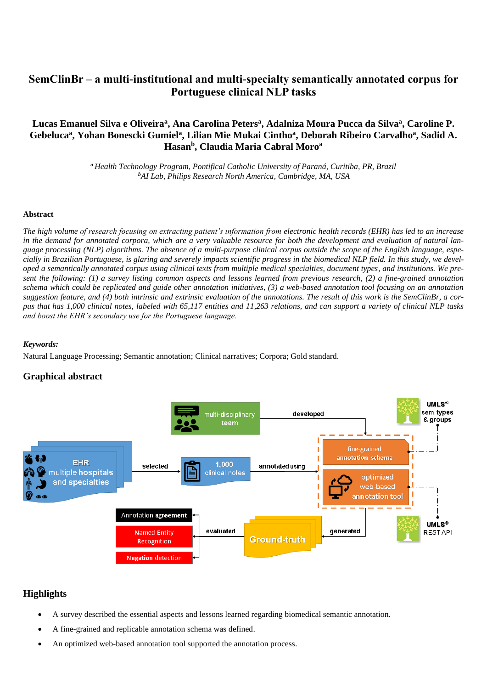# **SemClinBr – a multi-institutional and multi-specialty semantically annotated corpus for Portuguese clinical NLP tasks**

## **Lucas Emanuel Silva e Oliveira<sup>a</sup> , Ana Carolina Peters<sup>a</sup> , Adalniza Moura Pucca da Silva<sup>a</sup> , Caroline P. Gebeluca<sup>a</sup> , Yohan Bonescki Gumiel<sup>a</sup> , Lilian Mie Mukai Cintho<sup>a</sup> , Deborah Ribeiro Carvalho<sup>a</sup> , Sadid A. Hasan<sup>b</sup> , Claudia Maria Cabral Moro<sup>a</sup>**

*<sup>a</sup> Health Technology Program, Pontifical Catholic University of Paraná, Curitiba, PR, Brazil <sup>b</sup>AI Lab, Philips Research North America, Cambridge, MA, USA*

## **Abstract**

*The high volume of research focusing on extracting patient's information from electronic health records (EHR) has led to an increase in the demand for annotated corpora, which are a very valuable resource for both the development and evaluation of natural language processing (NLP) algorithms. The absence of a multi-purpose clinical corpus outside the scope of the English language, especially in Brazilian Portuguese, is glaring and severely impacts scientific progress in the biomedical NLP field. In this study, we developed a semantically annotated corpus using clinical texts from multiple medical specialties, document types, and institutions. We present the following: (1) a survey listing common aspects and lessons learned from previous research, (2) a fine-grained annotation schema which could be replicated and guide other annotation initiatives, (3) a web-based annotation tool focusing on an annotation suggestion feature, and (4) both intrinsic and extrinsic evaluation of the annotations. The result of this work is the SemClinBr, a corpus that has 1,000 clinical notes, labeled with 65,117 entities and 11,263 relations, and can support a variety of clinical NLP tasks and boost the EHR's secondary use for the Portuguese language.*

## *Keywords:*

Natural Language Processing; Semantic annotation; Clinical narratives; Corpora; Gold standard.

## **Graphical abstract**



## **Highlights**

- A survey described the essential aspects and lessons learned regarding biomedical semantic annotation.
- A fine-grained and replicable annotation schema was defined.
- An optimized web-based annotation tool supported the annotation process.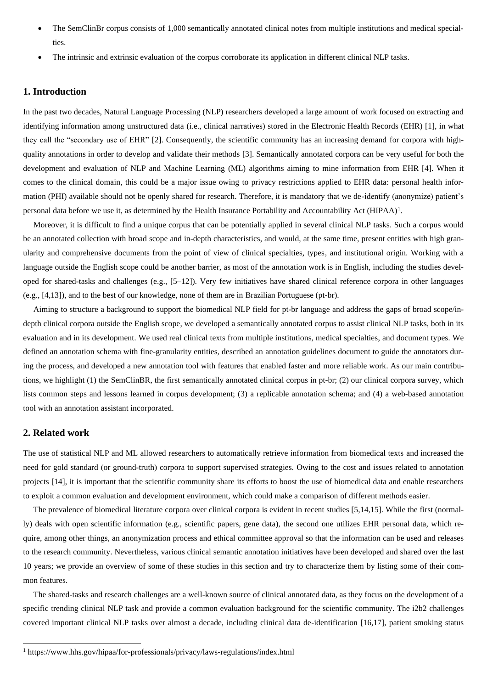- The SemClinBr corpus consists of 1,000 semantically annotated clinical notes from multiple institutions and medical specialties.
- The intrinsic and extrinsic evaluation of the corpus corroborate its application in different clinical NLP tasks.

## **1. Introduction**

In the past two decades, Natural Language Processing (NLP) researchers developed a large amount of work focused on extracting and identifying information among unstructured data (i.e., clinical narratives) stored in the Electronic Health Records (EHR) [1], in what they call the "secondary use of EHR" [2]. Consequently, the scientific community has an increasing demand for corpora with highquality annotations in order to develop and validate their methods [3]. Semantically annotated corpora can be very useful for both the development and evaluation of NLP and Machine Learning (ML) algorithms aiming to mine information from EHR [4]. When it comes to the clinical domain, this could be a major issue owing to privacy restrictions applied to EHR data: personal health information (PHI) available should not be openly shared for research. Therefore, it is mandatory that we de-identify (anonymize) patient's personal data before we use it, as determined by the Health Insurance Portability and Accountability Act (HIPAA)<sup>1</sup>.

 Moreover, it is difficult to find a unique corpus that can be potentially applied in several clinical NLP tasks. Such a corpus would be an annotated collection with broad scope and in-depth characteristics, and would, at the same time, present entities with high granularity and comprehensive documents from the point of view of clinical specialties, types, and institutional origin. Working with a language outside the English scope could be another barrier, as most of the annotation work is in English, including the studies developed for shared-tasks and challenges (e.g., [5–12]). Very few initiatives have shared clinical reference corpora in other languages (e.g., [4,13]), and to the best of our knowledge, none of them are in Brazilian Portuguese (pt-br).

 Aiming to structure a background to support the biomedical NLP field for pt-br language and address the gaps of broad scope/indepth clinical corpora outside the English scope, we developed a semantically annotated corpus to assist clinical NLP tasks, both in its evaluation and in its development. We used real clinical texts from multiple institutions, medical specialties, and document types. We defined an annotation schema with fine-granularity entities, described an annotation guidelines document to guide the annotators during the process, and developed a new annotation tool with features that enabled faster and more reliable work. As our main contributions, we highlight (1) the SemClinBR, the first semantically annotated clinical corpus in pt-br; (2) our clinical corpora survey, which lists common steps and lessons learned in corpus development; (3) a replicable annotation schema; and (4) a web-based annotation tool with an annotation assistant incorporated.

## **2. Related work**

The use of statistical NLP and ML allowed researchers to automatically retrieve information from biomedical texts and increased the need for gold standard (or ground-truth) corpora to support supervised strategies. Owing to the cost and issues related to annotation projects [14], it is important that the scientific community share its efforts to boost the use of biomedical data and enable researchers to exploit a common evaluation and development environment, which could make a comparison of different methods easier.

 The prevalence of biomedical literature corpora over clinical corpora is evident in recent studies [5,14,15]. While the first (normally) deals with open scientific information (e.g., scientific papers, gene data), the second one utilizes EHR personal data, which require, among other things, an anonymization process and ethical committee approval so that the information can be used and releases to the research community. Nevertheless, various clinical semantic annotation initiatives have been developed and shared over the last 10 years; we provide an overview of some of these studies in this section and try to characterize them by listing some of their common features.

 The shared-tasks and research challenges are a well-known source of clinical annotated data, as they focus on the development of a specific trending clinical NLP task and provide a common evaluation background for the scientific community. The i2b2 challenges covered important clinical NLP tasks over almost a decade, including clinical data de-identification [16,17], patient smoking status

<sup>&</sup>lt;sup>1</sup> https://www.hhs.gov/hipaa/for-professionals/privacy/laws-regulations/index.html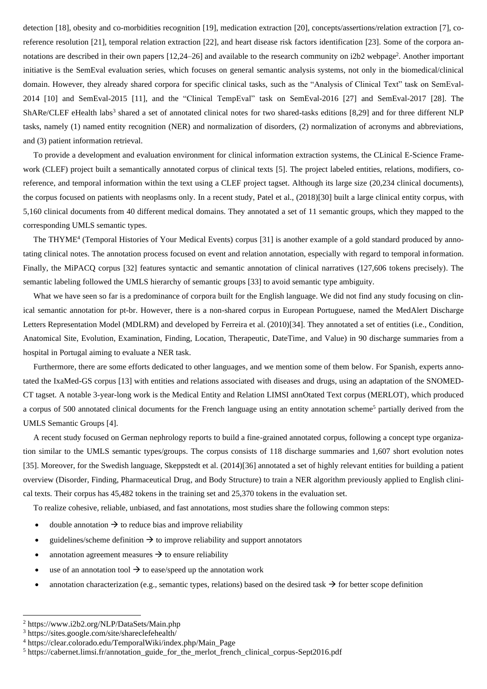detection [18], obesity and co-morbidities recognition [19], medication extraction [20], concepts/assertions/relation extraction [7], coreference resolution [21], temporal relation extraction [22], and heart disease risk factors identification [23]. Some of the corpora annotations are described in their own papers [12,24–26] and available to the research community on i2b2 webpage<sup>2</sup>. Another important initiative is the SemEval evaluation series, which focuses on general semantic analysis systems, not only in the biomedical/clinical domain. However, they already shared corpora for specific clinical tasks, such as the "Analysis of Clinical Text" task on SemEval-2014 [10] and SemEval-2015 [11], and the "Clinical TempEval" task on SemEval-2016 [27] and SemEval-2017 [28]. The ShARe/CLEF eHealth labs<sup>3</sup> shared a set of annotated clinical notes for two shared-tasks editions [8,29] and for three different NLP tasks, namely (1) named entity recognition (NER) and normalization of disorders, (2) normalization of acronyms and abbreviations, and (3) patient information retrieval.

 To provide a development and evaluation environment for clinical information extraction systems, the CLinical E-Science Framework (CLEF) project built a semantically annotated corpus of clinical texts [5]. The project labeled entities, relations, modifiers, coreference, and temporal information within the text using a CLEF project tagset. Although its large size (20,234 clinical documents), the corpus focused on patients with neoplasms only. In a recent study, Patel et al., (2018)[30] built a large clinical entity corpus, with 5,160 clinical documents from 40 different medical domains. They annotated a set of 11 semantic groups, which they mapped to the corresponding UMLS semantic types.

The THYME<sup>4</sup> (Temporal Histories of Your Medical Events) corpus [31] is another example of a gold standard produced by annotating clinical notes. The annotation process focused on event and relation annotation, especially with regard to temporal information. Finally, the MiPACQ corpus [32] features syntactic and semantic annotation of clinical narratives (127,606 tokens precisely). The semantic labeling followed the UMLS hierarchy of semantic groups [33] to avoid semantic type ambiguity.

What we have seen so far is a predominance of corpora built for the English language. We did not find any study focusing on clinical semantic annotation for pt-br. However, there is a non-shared corpus in European Portuguese, named the MedAlert Discharge Letters Representation Model (MDLRM) and developed by Ferreira et al. (2010)[34]. They annotated a set of entities (i.e., Condition, Anatomical Site, Evolution, Examination, Finding, Location, Therapeutic, DateTime, and Value) in 90 discharge summaries from a hospital in Portugal aiming to evaluate a NER task.

 Furthermore, there are some efforts dedicated to other languages, and we mention some of them below. For Spanish, experts annotated the IxaMed-GS corpus [13] with entities and relations associated with diseases and drugs, using an adaptation of the SNOMED-CT tagset. A notable 3-year-long work is the Medical Entity and Relation LIMSI annOtated Text corpus (MERLOT), which produced a corpus of 500 annotated clinical documents for the French language using an entity annotation scheme<sup>5</sup> partially derived from the UMLS Semantic Groups [4].

 A recent study focused on German nephrology reports to build a fine-grained annotated corpus, following a concept type organization similar to the UMLS semantic types/groups. The corpus consists of 118 discharge summaries and 1,607 short evolution notes [35]. Moreover, for the Swedish language, Skeppstedt et al. (2014)[36] annotated a set of highly relevant entities for building a patient overview (Disorder, Finding, Pharmaceutical Drug, and Body Structure) to train a NER algorithm previously applied to English clinical texts. Their corpus has 45,482 tokens in the training set and 25,370 tokens in the evaluation set.

To realize cohesive, reliable, unbiased, and fast annotations, most studies share the following common steps:

- double annotation  $\rightarrow$  to reduce bias and improve reliability
- guidelines/scheme definition  $\rightarrow$  to improve reliability and support annotators
- annotation agreement measures  $\rightarrow$  to ensure reliability
- use of an annotation tool  $\rightarrow$  to ease/speed up the annotation work
- annotation characterization (e.g., semantic types, relations) based on the desired task  $\rightarrow$  for better scope definition

<sup>2</sup> https://www.i2b2.org/NLP/DataSets/Main.php

<sup>3</sup> https://sites.google.com/site/shareclefehealth/

<sup>4</sup> https://clear.colorado.edu/TemporalWiki/index.php/Main\_Page

<sup>&</sup>lt;sup>5</sup> https://cabernet.limsi.fr/annotation\_guide\_for\_the\_merlot\_french\_clinical\_corpus-Sept2016.pdf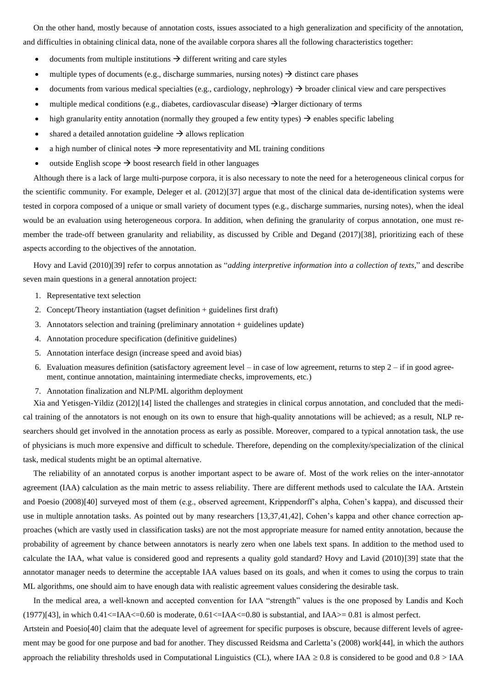On the other hand, mostly because of annotation costs, issues associated to a high generalization and specificity of the annotation, and difficulties in obtaining clinical data, none of the available corpora shares all the following characteristics together:

- documents from multiple institutions  $\rightarrow$  different writing and care styles
- multiple types of documents (e.g., discharge summaries, nursing notes)  $\rightarrow$  distinct care phases
- documents from various medical specialties (e.g., cardiology, nephrology)  $\rightarrow$  broader clinical view and care perspectives
- multiple medical conditions (e.g., diabetes, cardiovascular disease)  $\rightarrow$  larger dictionary of terms
- high granularity entity annotation (normally they grouped a few entity types)  $\rightarrow$  enables specific labeling
- shared a detailed annotation guideline  $\rightarrow$  allows replication
- a high number of clinical notes  $\rightarrow$  more representativity and ML training conditions
- outside English scope  $\rightarrow$  boost research field in other languages

 Although there is a lack of large multi-purpose corpora, it is also necessary to note the need for a heterogeneous clinical corpus for the scientific community. For example, Deleger et al. (2012)[37] argue that most of the clinical data de-identification systems were tested in corpora composed of a unique or small variety of document types (e.g., discharge summaries, nursing notes), when the ideal would be an evaluation using heterogeneous corpora. In addition, when defining the granularity of corpus annotation, one must remember the trade-off between granularity and reliability, as discussed by Crible and Degand (2017)[38], prioritizing each of these aspects according to the objectives of the annotation.

 Hovy and Lavid (2010)[39] refer to corpus annotation as "*adding interpretive information into a collection of texts,*" and describe seven main questions in a general annotation project:

- 1. Representative text selection
- 2. Concept/Theory instantiation (tagset definition + guidelines first draft)
- 3. Annotators selection and training (preliminary annotation + guidelines update)
- 4. Annotation procedure specification (definitive guidelines)
- 5. Annotation interface design (increase speed and avoid bias)
- 6. Evaluation measures definition (satisfactory agreement level in case of low agreement, returns to step  $2 if$  in good agreement, continue annotation, maintaining intermediate checks, improvements, etc.)
- 7. Annotation finalization and NLP/ML algorithm deployment

 Xia and Yetisgen-Yildiz (2012)[14] listed the challenges and strategies in clinical corpus annotation, and concluded that the medical training of the annotators is not enough on its own to ensure that high-quality annotations will be achieved; as a result, NLP researchers should get involved in the annotation process as early as possible. Moreover, compared to a typical annotation task, the use of physicians is much more expensive and difficult to schedule. Therefore, depending on the complexity/specialization of the clinical task, medical students might be an optimal alternative.

 The reliability of an annotated corpus is another important aspect to be aware of. Most of the work relies on the inter-annotator agreement (IAA) calculation as the main metric to assess reliability. There are different methods used to calculate the IAA. Artstein and Poesio (2008)[40] surveyed most of them (e.g., observed agreement, Krippendorff's alpha, Cohen's kappa), and discussed their use in multiple annotation tasks. As pointed out by many researchers [13,37,41,42], Cohen's kappa and other chance correction approaches (which are vastly used in classification tasks) are not the most appropriate measure for named entity annotation, because the probability of agreement by chance between annotators is nearly zero when one labels text spans. In addition to the method used to calculate the IAA, what value is considered good and represents a quality gold standard? Hovy and Lavid (2010)[39] state that the annotator manager needs to determine the acceptable IAA values based on its goals, and when it comes to using the corpus to train ML algorithms, one should aim to have enough data with realistic agreement values considering the desirable task.

 In the medical area, a well-known and accepted convention for IAA "strength" values is the one proposed by Landis and Koch  $(1977)[43]$ , in which  $0.41<=IAA<-0.60$  is moderate,  $0.61<=IAA<-0.80$  is substantial, and  $IAA>=0.81$  is almost perfect.

Artstein and Poesio[40] claim that the adequate level of agreement for specific purposes is obscure, because different levels of agreement may be good for one purpose and bad for another. They discussed Reidsma and Carletta's (2008) work[44], in which the authors approach the reliability thresholds used in Computational Linguistics (CL), where IAA  $\geq 0.8$  is considered to be good and  $0.8 > IAA$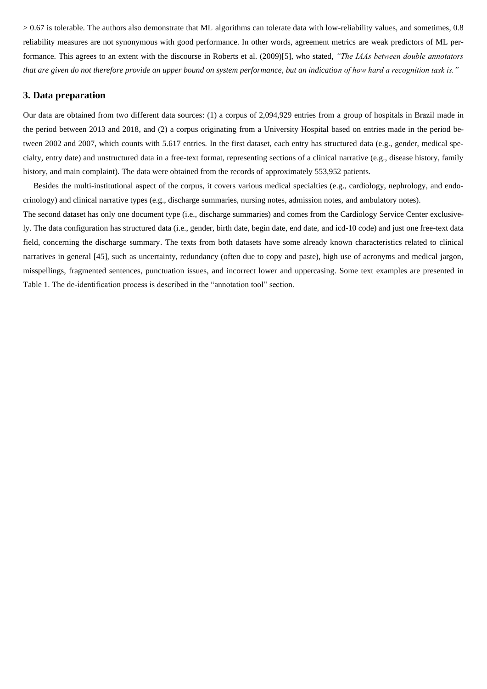> 0.67 is tolerable. The authors also demonstrate that ML algorithms can tolerate data with low-reliability values, and sometimes, 0.8 reliability measures are not synonymous with good performance. In other words, agreement metrics are weak predictors of ML performance. This agrees to an extent with the discourse in Roberts et al. (2009)[5], who stated, *"The IAAs between double annotators that are given do not therefore provide an upper bound on system performance, but an indication of how hard a recognition task is."*

## **3. Data preparation**

Our data are obtained from two different data sources: (1) a corpus of 2,094,929 entries from a group of hospitals in Brazil made in the period between 2013 and 2018, and (2) a corpus originating from a University Hospital based on entries made in the period between 2002 and 2007, which counts with 5.617 entries. In the first dataset, each entry has structured data (e.g., gender, medical specialty, entry date) and unstructured data in a free-text format, representing sections of a clinical narrative (e.g., disease history, family history, and main complaint). The data were obtained from the records of approximately 553,952 patients.

 Besides the multi-institutional aspect of the corpus, it covers various medical specialties (e.g., cardiology, nephrology, and endocrinology) and clinical narrative types (e.g., discharge summaries, nursing notes, admission notes, and ambulatory notes).

The second dataset has only one document type (i.e., discharge summaries) and comes from the Cardiology Service Center exclusively. The data configuration has structured data (i.e., gender, birth date, begin date, end date, and icd-10 code) and just one free-text data field, concerning the discharge summary. The texts from both datasets have some already known characteristics related to clinical narratives in general [45], such as uncertainty, redundancy (often due to copy and paste), high use of acronyms and medical jargon, misspellings, fragmented sentences, punctuation issues, and incorrect lower and uppercasing. Some text examples are presented in Table 1. The de-identification process is described in the "annotation tool" section.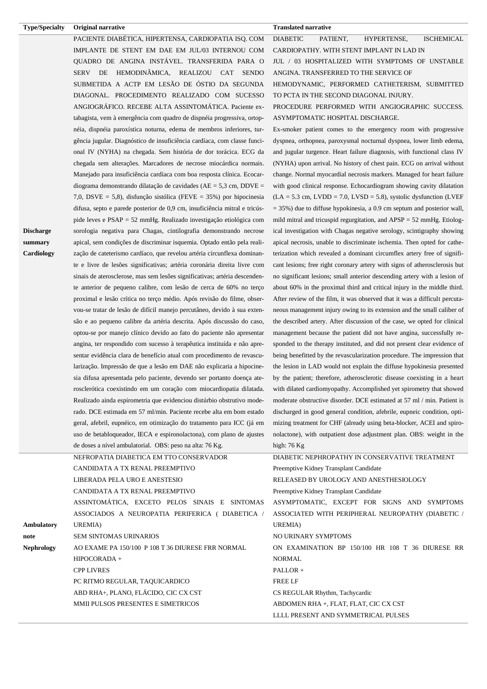| <b>Type/Specialty</b> | Original narrative                                                                                                                            | <b>Translated narrative</b>                                                                                                                         |
|-----------------------|-----------------------------------------------------------------------------------------------------------------------------------------------|-----------------------------------------------------------------------------------------------------------------------------------------------------|
|                       | PACIENTE DIABÉTICA, HIPERTENSA, CARDIOPATIA ISQ. COM                                                                                          | <b>DIABETIC</b><br>PATIENT,<br><b>ISCHEMICAL</b><br>HYPERTENSE,                                                                                     |
|                       | IMPLANTE DE STENT EM DAE EM JUL/03 INTERNOU COM                                                                                               | CARDIOPATHY. WITH STENT IMPLANT IN LAD IN                                                                                                           |
|                       | QUADRO DE ANGINA INSTÁVEL. TRANSFERIDA PARA O                                                                                                 | JUL / 03 HOSPITALIZED WITH SYMPTOMS OF UNSTABLE                                                                                                     |
|                       | SERV DE HEMODINÂMICA, REALIZOU CAT<br><b>SENDO</b>                                                                                            | ANGINA. TRANSFERRED TO THE SERVICE OF                                                                                                               |
|                       | SUBMETIDA A ACTP EM LESÃO DE ÓSTIO DA SEGUNDA                                                                                                 | HEMODYNAMIC, PERFORMED CATHETERISM, SUBMITTED                                                                                                       |
|                       | DIAGONAL. PROCEDIMENTO REALIZADO COM SUCESSO                                                                                                  | TO PCTA IN THE SECOND DIAGONAL INJURY.                                                                                                              |
|                       | ANGIOGRÁFICO. RECEBE ALTA ASSINTOMÁTICA. Paciente ex-                                                                                         | PROCEDURE PERFORMED WITH ANGIOGRAPHIC SUCCESS.                                                                                                      |
|                       | tabagista, vem à emergência com quadro de dispnéia progressiva, ortop-                                                                        | ASYMPTOMATIC HOSPITAL DISCHARGE.                                                                                                                    |
|                       | néia, dispnéia paroxística noturna, edema de membros inferiores, tur-                                                                         | Ex-smoker patient comes to the emergency room with progressive                                                                                      |
|                       | gência jugular. Diagnóstico de insuficiência cardíaca, com classe funci-                                                                      | dyspnea, orthopnea, paroxysmal nocturnal dyspnea, lower limb edema,                                                                                 |
|                       | onal IV (NYHA) na chegada. Sem história de dor torácica. ECG da                                                                               | and jugular turgence. Heart failure diagnosis, with functional class IV                                                                             |
|                       | chegada sem alterações. Marcadores de necrose miocárdica normais.                                                                             | (NYHA) upon arrival. No history of chest pain. ECG on arrival without                                                                               |
|                       | Manejado para insuficiência cardíaca com boa resposta clínica. Ecocar-                                                                        | change. Normal myocardial necrosis markers. Managed for heart failure                                                                               |
|                       | diograma demonstrando dilatação de cavidades ( $AE = 5,3$ cm, $DDVE =$                                                                        | with good clinical response. Echocardiogram showing cavity dilatation                                                                               |
|                       | 7,0, DSVE = 5,8), disfunção sistólica (FEVE = $35\%$ ) por hipocinesia                                                                        | $(LA = 5.3$ cm, $LVDD = 7.0$ , $LVSD = 5.8$ ), systolic dysfunction (LVEF                                                                           |
|                       | difusa, septo e parede posterior de 0,9 cm, insuficiência mitral e tricús-                                                                    | $=$ 35%) due to diffuse hypokinesia, a 0.9 cm septum and posterior wall,                                                                            |
|                       | pide leves e $PSAP = 52$ mmHg. Realizado investigação etiológica com                                                                          | mild mitral and tricuspid regurgitation, and $APSP = 52$ mmHg. Etiolog-                                                                             |
| <b>Discharge</b>      | sorologia negativa para Chagas, cintilografia demonstrando necrose                                                                            | ical investigation with Chagas negative serology, scintigraphy showing                                                                              |
| summary               | apical, sem condições de discriminar isquemia. Optado então pela reali-                                                                       | apical necrosis, unable to discriminate ischemia. Then opted for cathe-                                                                             |
| Cardiology            | zação de cateterismo cardíaco, que revelou artéria circunflexa dominan-                                                                       | terization which revealed a dominant circumflex artery free of signifi-                                                                             |
|                       | te e livre de lesões significativas; artéria coronária direita livre com                                                                      | cant lesions; free right coronary artery with signs of atherosclerosis but                                                                          |
|                       | sinais de aterosclerose, mas sem lesões significativas; artéria descenden-                                                                    | no significant lesions; small anterior descending artery with a lesion of                                                                           |
|                       | te anterior de pequeno calibre, com lesão de cerca de 60% no terço                                                                            | about 60% in the proximal third and critical injury in the middle third.                                                                            |
|                       | proximal e lesão crítica no terço médio. Após revisão do filme, obser-                                                                        | After review of the film, it was observed that it was a difficult percuta-                                                                          |
|                       | vou-se tratar de lesão de difícil manejo percutâneo, devido à sua exten-                                                                      | neous management injury owing to its extension and the small caliber of                                                                             |
|                       | são e ao pequeno calibre da artéria descrita. Após discussão do caso,                                                                         | the described artery. After discussion of the case, we opted for clinical                                                                           |
|                       | optou-se por manejo clínico devido ao fato do paciente não apresentar                                                                         | management because the patient did not have angina, successfully re-                                                                                |
|                       | angina, ter respondido com sucesso à terapêutica instituída e não apre-                                                                       | sponded to the therapy instituted, and did not present clear evidence of                                                                            |
|                       | sentar evidência clara de benefício atual com procedimento de revascu-                                                                        | being benefitted by the revascularization procedure. The impression that                                                                            |
|                       | larização. Impressão de que a lesão em DAE não explicaria a hipocine-                                                                         | the lesion in LAD would not explain the diffuse hypokinesia presented                                                                               |
|                       | sia difusa apresentada pelo paciente, devendo ser portanto doença ate-                                                                        | by the patient; therefore, atherosclerotic disease coexisting in a heart                                                                            |
|                       | rosclerótica coexistindo em um coração com miocardiopatia dilatada.                                                                           | with dilated cardiomyopathy. Accomplished yet spirometry that showed                                                                                |
|                       | Realizado ainda espirometria que evidenciou distúrbio obstrutivo mode-<br>rado. DCE estimada em 57 ml/min. Paciente recebe alta em bom estado | moderate obstructive disorder. DCE estimated at 57 ml / min. Patient is<br>discharged in good general condition, afebrile, eupneic condition, opti- |
|                       | geral, afebril, eupnéico, em otimização do tratamento para ICC (já em                                                                         | mizing treatment for CHF (already using beta-blocker, ACEI and spiro-                                                                               |
|                       | uso de betabloqueador, IECA e espironolactona), com plano de ajustes                                                                          | nolactone), with outpatient dose adjustment plan. OBS: weight in the                                                                                |
|                       | de doses a nível ambulatorial. OBS: peso na alta: 76 Kg.                                                                                      | high: $76$ Kg                                                                                                                                       |
|                       | NEFROPATIA DIABETICA EM TTO CONSERVADOR                                                                                                       | DIABETIC NEPHROPATHY IN CONSERVATIVE TREATMENT                                                                                                      |
|                       | CANDIDATA A TX RENAL PREEMPTIVO                                                                                                               | Preemptive Kidney Transplant Candidate                                                                                                              |
|                       | LIBERADA PELA URO E ANESTESIO                                                                                                                 | RELEASED BY UROLOGY AND ANESTHESIOLOGY                                                                                                              |
|                       | CANDIDATA A TX RENAL PREEMPTIVO                                                                                                               | Preemptive Kidney Transplant Candidate                                                                                                              |
|                       | ASSINTOMÁTICA, EXCETO PELOS SINAIS E SINTOMAS                                                                                                 | ASYMPTOMATIC, EXCEPT FOR SIGNS AND SYMPTOMS                                                                                                         |
|                       | ASSOCIADOS A NEUROPATIA PERIFERICA ( DIABETICA /                                                                                              | ASSOCIATED WITH PERIPHERAL NEUROPATHY (DIABETIC /                                                                                                   |
| Ambulatory            | <b>UREMIA</b> )                                                                                                                               | UREMIA)                                                                                                                                             |
| note                  | <b>SEM SINTOMAS URINARIOS</b>                                                                                                                 | NO URINARY SYMPTOMS                                                                                                                                 |
| Nephrology            | AO EXAME PA 150/100 P 108 T 36 DIURESE FRR NORMAL                                                                                             | ON EXAMINATION BP 150/100 HR 108 T 36 DIURESE RR                                                                                                    |
|                       | HIPOCORADA +                                                                                                                                  | <b>NORMAL</b>                                                                                                                                       |
|                       | <b>CPP LIVRES</b>                                                                                                                             | PALLOR +                                                                                                                                            |
|                       | PC RITMO REGULAR, TAQUICARDICO                                                                                                                | <b>FREE LF</b>                                                                                                                                      |
|                       | ABD RHA+, PLANO, FLÁCIDO, CIC CX CST                                                                                                          | CS REGULAR Rhythm, Tachycardic                                                                                                                      |
|                       | MMII PULSOS PRESENTES E SIMETRICOS                                                                                                            | ABDOMEN RHA +, FLAT, FLAT, CIC CX CST                                                                                                               |
|                       |                                                                                                                                               | LLLL PRESENT AND SYMMETRICAL PULSES                                                                                                                 |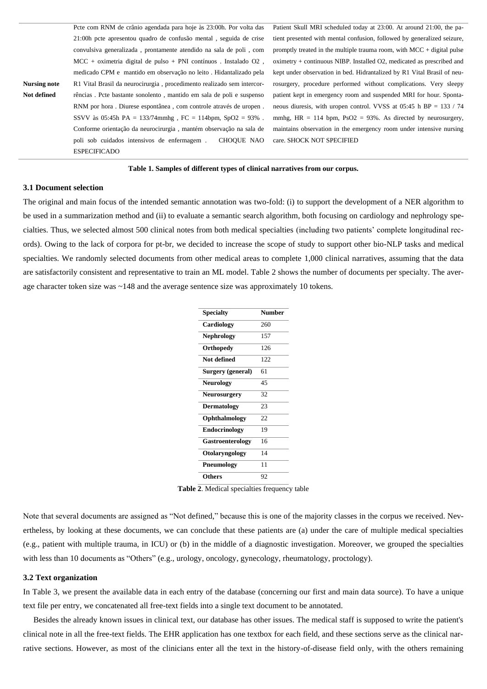|              | Pote com RNM de crânio agendada para hoje às 23:00h. Por volta das     |
|--------------|------------------------------------------------------------------------|
|              | 21:00h pcte apresentou quadro de confusão mental, seguida de crise     |
|              | convulsiva generalizada, prontamente atendido na sala de poli, com     |
|              | $MCC$ + oximetria digital de pulso + PNI contínuos. Instalado O2,      |
|              | medicado CPM e mantido em observação no leito. Hidantalizado pela      |
| Nursing note | R1 Vital Brasil da neurocirurgia, procedimento realizado sem intercor- |
| Not defined  | rências. Pete bastante sonolento, mantido em sala de poli e suspenso   |
|              | RNM por hora. Diurese espontânea, com controle através de uropen.      |
|              | SSVV às 05:45h PA = $133/74$ mmhg, FC = 114bpm, SpO2 = $93\%$ .        |
|              | Conforme orientação da neurocirurgia, mantém observação na sala de     |
|              | poli sob cuidados intensivos de enfermagem.<br><b>CHOOUE NAO</b>       |
|              | <b>ESPECIFICADO</b>                                                    |

Patient Skull MRI scheduled today at 23:00. At around 21:00, the patient presented with mental confusion, followed by generalized seizure, promptly treated in the multiple trauma room, with MCC + digital pulse oximetry + continuous NIBP. Installed O2, medicated as prescribed and kept under observation in bed. Hidrantalized by R1 Vital Brasil of neurosurgery, procedure performed without complications. Very sleepy patient kept in emergency room and suspended MRI for hour. Spontaneous diuresis, with uropen control. VVSS at 05:45 h BP = 133 / 74 mmhg,  $HR = 114$  bpm,  $PsO2 = 93\%$ . As directed by neurosurgery, maintains observation in the emergency room under intensive nursing care. SHOCK NOT SPECIFIED

#### **Table 1. Samples of different types of clinical narratives from our corpus.**

#### **3.1 Document selection**

The original and main focus of the intended semantic annotation was two-fold: (i) to support the development of a NER algorithm to be used in a summarization method and (ii) to evaluate a semantic search algorithm, both focusing on cardiology and nephrology specialties. Thus, we selected almost 500 clinical notes from both medical specialties (including two patients' complete longitudinal records). Owing to the lack of corpora for pt-br, we decided to increase the scope of study to support other bio-NLP tasks and medical specialties. We randomly selected documents from other medical areas to complete 1,000 clinical narratives, assuming that the data are satisfactorily consistent and representative to train an ML model. Table 2 shows the number of documents per specialty. The average character token size was ~148 and the average sentence size was approximately 10 tokens.

| <b>Specialty</b>         | <b>Number</b> |
|--------------------------|---------------|
| Cardiology               | 260           |
| <b>Nephrology</b>        | 157           |
| Orthopedy                | 126           |
| Not defined              | 122           |
| <b>Surgery (general)</b> | 61            |
| <b>Neurology</b>         | 45            |
| <b>Neurosurgery</b>      | 32            |
| <b>Dermatology</b>       | 23            |
| Ophthalmology            | 22            |
| <b>Endocrinology</b>     | 19            |
| Gastroenterology         | 16            |
| Otolaryngology           | 14            |
| Pneumology               | 11            |
| Others                   | 92            |

**Table 2**. Medical specialties frequency table

Note that several documents are assigned as "Not defined," because this is one of the majority classes in the corpus we received. Nevertheless, by looking at these documents, we can conclude that these patients are (a) under the care of multiple medical specialties (e.g., patient with multiple trauma, in ICU) or (b) in the middle of a diagnostic investigation. Moreover, we grouped the specialties with less than 10 documents as "Others" (e.g., urology, oncology, gynecology, rheumatology, proctology).

#### **3.2 Text organization**

In Table 3, we present the available data in each entry of the database (concerning our first and main data source). To have a unique text file per entry, we concatenated all free-text fields into a single text document to be annotated.

 Besides the already known issues in clinical text, our database has other issues. The medical staff is supposed to write the patient's clinical note in all the free-text fields. The EHR application has one textbox for each field, and these sections serve as the clinical narrative sections. However, as most of the clinicians enter all the text in the history-of-disease field only, with the others remaining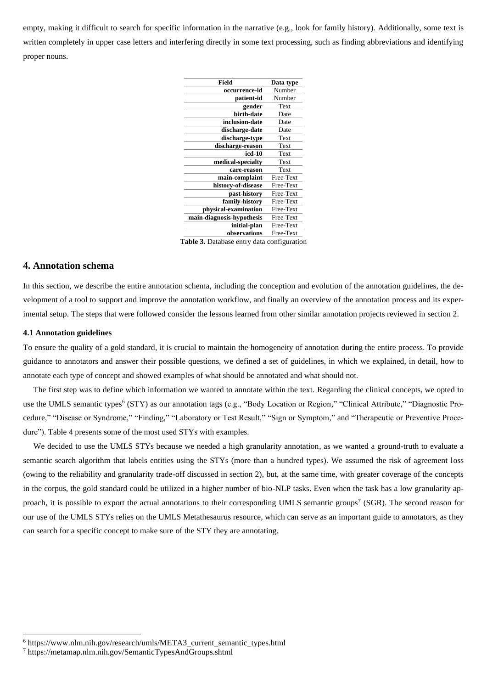empty, making it difficult to search for specific information in the narrative (e.g., look for family history). Additionally, some text is written completely in upper case letters and interfering directly in some text processing, such as finding abbreviations and identifying proper nouns.

| <b>Field</b>              | Data type |
|---------------------------|-----------|
| occurrence-id             | Number    |
| patient-id                | Number    |
| gender                    | Text      |
| birth-date                | Date      |
| inclusion-date            | Date      |
| discharge-date            | Date      |
| discharge-type            | Text      |
| discharge-reason          | Text      |
| icd-10                    | Text      |
| medical-specialty         | Text      |
| care-reason               | Text      |
| main-complaint            | Free-Text |
| history-of-disease        | Free-Text |
| past-history              | Free-Text |
| family-history            | Free-Text |
| physical-examination      | Free-Text |
| main-diagnosis-hypothesis | Free-Text |
| initial-plan              | Free-Text |
| observations              | Free-Text |
|                           |           |

**Table 3.** Database entry data configuration

## **4. Annotation schema**

In this section, we describe the entire annotation schema, including the conception and evolution of the annotation guidelines, the development of a tool to support and improve the annotation workflow, and finally an overview of the annotation process and its experimental setup. The steps that were followed consider the lessons learned from other similar annotation projects reviewed in section 2.

#### **4.1 Annotation guidelines**

To ensure the quality of a gold standard, it is crucial to maintain the homogeneity of annotation during the entire process. To provide guidance to annotators and answer their possible questions, we defined a set of guidelines, in which we explained, in detail, how to annotate each type of concept and showed examples of what should be annotated and what should not.

 The first step was to define which information we wanted to annotate within the text. Regarding the clinical concepts, we opted to use the UMLS semantic types<sup>6</sup> (STY) as our annotation tags (e.g., "Body Location or Region," "Clinical Attribute," "Diagnostic Procedure," "Disease or Syndrome," "Finding," "Laboratory or Test Result," "Sign or Symptom," and "Therapeutic or Preventive Procedure"). Table 4 presents some of the most used STYs with examples.

 We decided to use the UMLS STYs because we needed a high granularity annotation, as we wanted a ground-truth to evaluate a semantic search algorithm that labels entities using the STYs (more than a hundred types). We assumed the risk of agreement loss (owing to the reliability and granularity trade-off discussed in section 2), but, at the same time, with greater coverage of the concepts in the corpus, the gold standard could be utilized in a higher number of bio-NLP tasks. Even when the task has a low granularity approach, it is possible to export the actual annotations to their corresponding UMLS semantic groups<sup>7</sup> (SGR). The second reason for our use of the UMLS STYs relies on the UMLS Metathesaurus resource, which can serve as an important guide to annotators, as they can search for a specific concept to make sure of the STY they are annotating.

 $6$  https://www.nlm.nih.gov/research/umls/META3 current semantic types.html

<sup>7</sup> https://metamap.nlm.nih.gov/SemanticTypesAndGroups.shtml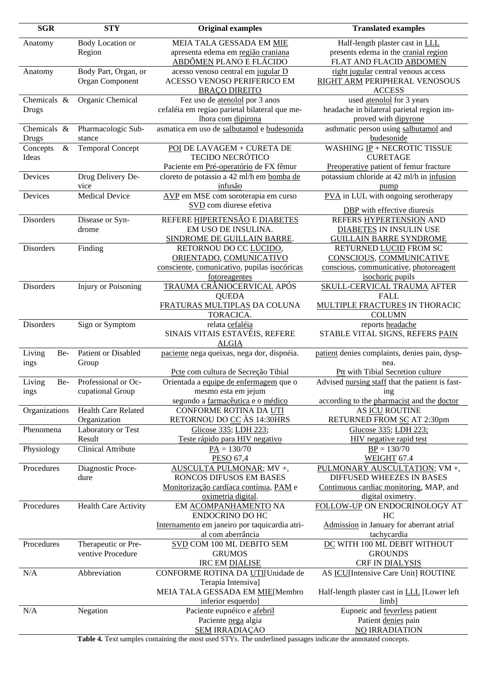| <b>SGR</b>       | <b>STY</b>                  | <b>Original examples</b>                       | <b>Translated examples</b>                      |
|------------------|-----------------------------|------------------------------------------------|-------------------------------------------------|
| Anatomy          | Body Location or            | MEIA TALA GESSADA EM MIE                       | Half-length plaster cast in LLL                 |
|                  | Region                      | apresenta edema em região craniana             | presents edema in the cranial region            |
|                  |                             | ABDÔMEN PLANO E FLÁCIDO                        | FLAT AND FLACID ABDOMEN                         |
| Anatomy          | Body Part, Organ, or        | acesso venoso central em jugular D             | right jugular central venous access             |
|                  | Organ Component             | ACESSO VENOSO PERIFERICO EM                    | RIGHT ARM PERIPHERAL VENOSOUS                   |
|                  |                             | <b>BRAÇO DIREITO</b>                           | <b>ACCESS</b>                                   |
| Chemicals &      | Organic Chemical            | Fez uso de atenolol por 3 anos                 | used atenolol for 3 years                       |
|                  |                             | cefaléia em regiao parietal bilateral que me-  | headache in bilateral parietal region im-       |
| Drugs            |                             | lhora com dipirona                             | proved with dipyrone                            |
| Chemicals &      | Pharmacologic Sub-          | asmatica em uso de salbutamol e budesonida     | asthmatic person using salbutamol and           |
| Drugs            | stance                      |                                                | budesonide                                      |
| Concepts<br>$\&$ | <b>Temporal Concept</b>     | POI DE LAVAGEM + CURETA DE                     | WASHING $IP + NECROTIC$ TISSUE                  |
| Ideas            |                             | <b>TECIDO NECRÓTICO</b>                        | <b>CURETAGE</b>                                 |
|                  |                             | Paciente em Pré-operatório de FX fêmur         | Preoperative patient of femur fracture          |
| Devices          | Drug Delivery De-           | cloreto de potassio a 42 ml/h em bomba de      | potassium chloride at 42 ml/h in infusion       |
|                  | vice                        | infusão                                        | pump                                            |
| Devices          | <b>Medical Device</b>       | AVP em MSE com soroterapia em curso            | PVA in LUL with ongoing serotherapy             |
|                  |                             | SVD com diurese efetiva                        |                                                 |
|                  |                             |                                                | DBP with effective diuresis                     |
| Disorders        | Disease or Syn-             | REFERE HIPERTENSÃO E DIABETES                  | REFERS HYPERTENSION AND                         |
|                  | drome                       | EM USO DE INSULINA.                            | DIABETES IN INSULIN USE                         |
|                  |                             | SINDROME DE GUILLAIN BARRE.                    | <b>GUILLAIN BARRE SYNDROME</b>                  |
| Disorders        | Finding                     | RETORNOU DO CC LÚCIDO,                         | RETURNED LUCID FROM SC                          |
|                  |                             | ORIENTADO, COMUNICATIVO                        | CONSCIOUS, COMMUNICATIVE                        |
|                  |                             | consciente, comunicativo, pupilas isocóricas   | conscious, communicative, photoreagent          |
|                  |                             | fotoreagentes                                  | isochoric pupils                                |
| Disorders        | <b>Injury or Poisoning</b>  | TRAUMA CRÂNIOCERVICAL APÓS                     | <b>SKULL-CERVICAL TRAUMA AFTER</b>              |
|                  |                             | <b>QUEDA</b>                                   | <b>FALL</b>                                     |
|                  |                             | FRATURAS MULTIPLAS DA COLUNA                   | <b>MULTIPLE FRACTURES IN THORACIC</b>           |
|                  |                             | TORACICA.                                      | <b>COLUMN</b>                                   |
| Disorders        | Sign or Symptom             | relata cefaléia                                | reports headache                                |
|                  |                             | SINAIS VITAIS ESTAVÉIS, REFERE                 | STABLE VITAL SIGNS, REFERS PAIN                 |
|                  |                             | <b>ALGIA</b>                                   |                                                 |
| Living<br>Be-    | Patient or Disabled         | paciente nega queixas, nega dor, dispnéia.     | patient denies complaints, denies pain, dysp-   |
| ings             | Group                       |                                                | nea.                                            |
|                  |                             | Pete com cultura de Secreção Tibial            | Ptt with Tibial Secretion culture               |
| Living<br>Be-    | Professional or Oc-         | Orientada a equipe de enfermagem que o         | Advised nursing staff that the patient is fast- |
| ings             | cupational Group            | mesmo esta em jejum                            | $\frac{1}{2}$ ing                               |
|                  |                             | segundo a farmacêutica e o médico              | according to the pharmacist and the doctor      |
| Organizations    | Health Care Related         | CONFORME ROTINA DA UTI                         | AS ICU ROUTINE                                  |
|                  | Organization                | RETORNOU DO CC ÀS 14:30HRS                     | RETURNED FROM SC AT 2:30pm                      |
| Phenomena        | Laboratory or Test          | Glicose 335; LDH 223;                          | Glucose 335; LDH 223;                           |
|                  | Result                      | Teste rápido para HIV negativo                 | <b>HIV</b> negative rapid test                  |
| Physiology       | Clinical Attribute          | $PA = 130/70$                                  | $BP = 130/70$                                   |
|                  |                             | PESO 67,4                                      | WEIGHT 67.4                                     |
| Procedures       | Diagnostic Proce-           | AUSCULTA PULMONAR; MV +,                       | PULMONARY AUSCULTATION; VM +,                   |
|                  | dure                        | RONCOS DIFUSOS EM BASES                        | DIFFUSED WHEEZES IN BASES                       |
|                  |                             | Monitorização cardíaca contínua, PAM e         | Continuous cardiac monitoring, MAP, and         |
| Procedures       |                             | oximetria digital.                             | digital oximetry.                               |
|                  | <b>Health Care Activity</b> | EM ACOMPANHAMENTO NA<br><b>ENDOCRINO DO HC</b> | FOLLOW-UP ON ENDOCRINOLOGY AT<br>HC             |
|                  |                             | Internamento em janeiro por taquicardia atri-  | Admission in January for aberrant atrial        |
|                  |                             | al com aberrância                              | tachycardia                                     |
| Procedures       | Therapeutic or Pre-         | SVD COM 100 ML DEBITO SEM                      | DC WITH 100 ML DEBIT WITHOUT                    |
|                  | ventive Procedure           | <b>GRUMOS</b>                                  | <b>GROUNDS</b>                                  |
|                  |                             | <b>IRC EM DIALISE</b>                          | CRF IN DIALYSIS                                 |
| N/A              | Abbreviation                | CONFORME ROTINA DA UTI[Unidade de              | AS ICU[Intensive Care Unit] ROUTINE             |
|                  |                             | Terapia Intensiva]                             |                                                 |
|                  |                             | MEIA TALA GESSADA EM MIE[Membro                | Half-length plaster cast in LLL [Lower left     |
|                  |                             | inferior esquerdo]                             | $limb$ ]                                        |
| N/A              | Negation                    | Paciente eupnéico e afebril                    | Eupneic and feverless patient                   |
|                  |                             | Paciente nega algia                            | Patient denies pain                             |
|                  |                             | <b>SEM IRRADIACAO</b>                          | <b>NO IRRADIATION</b>                           |
|                  |                             |                                                |                                                 |

**Table 4.** Text samples containing the most used STYs. The underlined passages indicate the annotated concepts.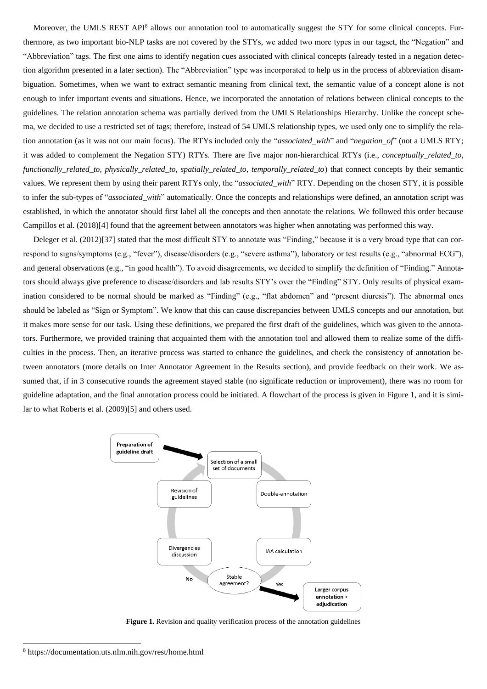Moreover, the UMLS REST API<sup>8</sup> allows our annotation tool to automatically suggest the STY for some clinical concepts. Furthermore, as two important bio-NLP tasks are not covered by the STYs, we added two more types in our tagset, the "Negation" and "Abbreviation" tags. The first one aims to identify negation cues associated with clinical concepts (already tested in a negation detection algorithm presented in a later section). The "Abbreviation" type was incorporated to help us in the process of abbreviation disambiguation. Sometimes, when we want to extract semantic meaning from clinical text, the semantic value of a concept alone is not enough to infer important events and situations. Hence, we incorporated the annotation of relations between clinical concepts to the guidelines. The relation annotation schema was partially derived from the UMLS Relationships Hierarchy. Unlike the concept schema, we decided to use a restricted set of tags; therefore, instead of 54 UMLS relationship types, we used only one to simplify the relation annotation (as it was not our main focus). The RTYs included only the "*associated\_with*" and "*negation\_of*" (not a UMLS RTY; it was added to complement the Negation STY) RTYs. There are five major non-hierarchical RTYs (i.e., *conceptually\_related\_to, functionally\_related\_to, physically\_related\_to, spatially\_related\_to, temporally\_related\_to*) that connect concepts by their semantic values. We represent them by using their parent RTYs only, the "*associated\_with*" RTY. Depending on the chosen STY, it is possible to infer the sub-types of "*associated with*" automatically. Once the concepts and relationships were defined, an annotation script was established, in which the annotator should first label all the concepts and then annotate the relations. We followed this order because Campillos et al. (2018)[4] found that the agreement between annotators was higher when annotating was performed this way.

 Deleger et al. (2012)[37] stated that the most difficult STY to annotate was "Finding," because it is a very broad type that can correspond to signs/symptoms (e.g., "fever"), disease/disorders (e.g., "severe asthma"), laboratory or test results (e.g., "abnormal ECG"), and general observations (e.g., "in good health"). To avoid disagreements, we decided to simplify the definition of "Finding." Annotators should always give preference to disease/disorders and lab results STY's over the "Finding" STY. Only results of physical examination considered to be normal should be marked as "Finding" (e.g., "flat abdomen" and "present diuresis"). The abnormal ones should be labeled as "Sign or Symptom". We know that this can cause discrepancies between UMLS concepts and our annotation, but it makes more sense for our task. Using these definitions, we prepared the first draft of the guidelines, which was given to the annotators. Furthermore, we provided training that acquainted them with the annotation tool and allowed them to realize some of the difficulties in the process. Then, an iterative process was started to enhance the guidelines, and check the consistency of annotation between annotators (more details on Inter Annotator Agreement in the Results section), and provide feedback on their work. We assumed that, if in 3 consecutive rounds the agreement stayed stable (no significate reduction or improvement), there was no room for guideline adaptation, and the final annotation process could be initiated. A flowchart of the process is given in Figure 1, and it is similar to what Roberts et al. (2009)[5] and others used.



**Figure 1.** Revision and quality verification process of the annotation guidelines

<sup>8</sup> https://documentation.uts.nlm.nih.gov/rest/home.html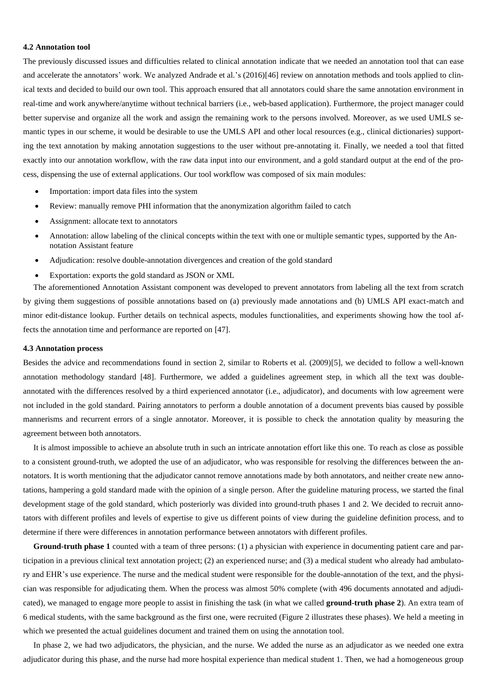#### **4.2 Annotation tool**

The previously discussed issues and difficulties related to clinical annotation indicate that we needed an annotation tool that can ease and accelerate the annotators' work. We analyzed Andrade et al.'s (2016)[46] review on annotation methods and tools applied to clinical texts and decided to build our own tool. This approach ensured that all annotators could share the same annotation environment in real-time and work anywhere/anytime without technical barriers (i.e., web-based application). Furthermore, the project manager could better supervise and organize all the work and assign the remaining work to the persons involved. Moreover, as we used UMLS semantic types in our scheme, it would be desirable to use the UMLS API and other local resources (e.g., clinical dictionaries) supporting the text annotation by making annotation suggestions to the user without pre-annotating it. Finally, we needed a tool that fitted exactly into our annotation workflow, with the raw data input into our environment, and a gold standard output at the end of the process, dispensing the use of external applications. Our tool workflow was composed of six main modules:

- Importation: import data files into the system
- Review: manually remove PHI information that the anonymization algorithm failed to catch
- Assignment: allocate text to annotators
- Annotation: allow labeling of the clinical concepts within the text with one or multiple semantic types, supported by the Annotation Assistant feature
- Adjudication: resolve double-annotation divergences and creation of the gold standard
- Exportation: exports the gold standard as JSON or XML

 The aforementioned Annotation Assistant component was developed to prevent annotators from labeling all the text from scratch by giving them suggestions of possible annotations based on (a) previously made annotations and (b) UMLS API exact-match and minor edit-distance lookup. Further details on technical aspects, modules functionalities, and experiments showing how the tool affects the annotation time and performance are reported on [47].

#### **4.3 Annotation process**

Besides the advice and recommendations found in section 2, similar to Roberts et al. (2009)[5], we decided to follow a well-known annotation methodology standard [48]. Furthermore, we added a guidelines agreement step, in which all the text was doubleannotated with the differences resolved by a third experienced annotator (i.e., adjudicator), and documents with low agreement were not included in the gold standard. Pairing annotators to perform a double annotation of a document prevents bias caused by possible mannerisms and recurrent errors of a single annotator. Moreover, it is possible to check the annotation quality by measuring the agreement between both annotators.

 It is almost impossible to achieve an absolute truth in such an intricate annotation effort like this one. To reach as close as possible to a consistent ground-truth, we adopted the use of an adjudicator, who was responsible for resolving the differences between the annotators. It is worth mentioning that the adjudicator cannot remove annotations made by both annotators, and neither create new annotations, hampering a gold standard made with the opinion of a single person. After the guideline maturing process, we started the final development stage of the gold standard, which posteriorly was divided into ground-truth phases 1 and 2. We decided to recruit annotators with different profiles and levels of expertise to give us different points of view during the guideline definition process, and to determine if there were differences in annotation performance between annotators with different profiles.

 **Ground-truth phase 1** counted with a team of three persons: (1) a physician with experience in documenting patient care and participation in a previous clinical text annotation project; (2) an experienced nurse; and (3) a medical student who already had ambulatory and EHR's use experience. The nurse and the medical student were responsible for the double-annotation of the text, and the physician was responsible for adjudicating them. When the process was almost 50% complete (with 496 documents annotated and adjudicated), we managed to engage more people to assist in finishing the task (in what we called **ground-truth phase 2**). An extra team of 6 medical students, with the same background as the first one, were recruited (Figure 2 illustrates these phases). We held a meeting in which we presented the actual guidelines document and trained them on using the annotation tool.

 In phase 2, we had two adjudicators, the physician, and the nurse. We added the nurse as an adjudicator as we needed one extra adjudicator during this phase, and the nurse had more hospital experience than medical student 1. Then, we had a homogeneous group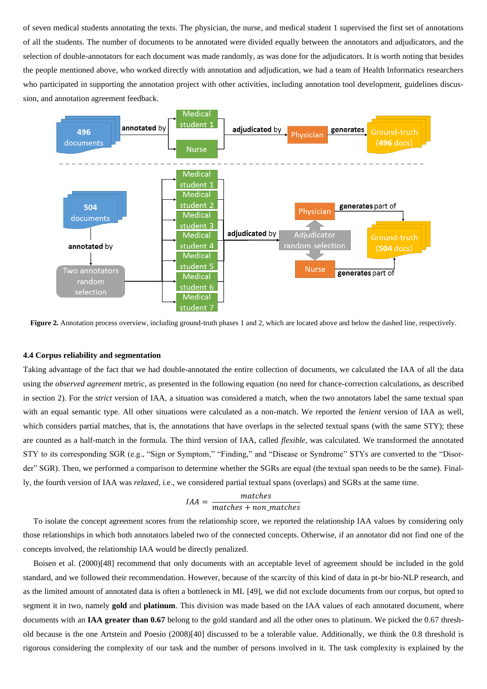of seven medical students annotating the texts. The physician, the nurse, and medical student 1 supervised the first set of annotations of all the students. The number of documents to be annotated were divided equally between the annotators and adjudicators, and the selection of double-annotators for each document was made randomly, as was done for the adjudicators. It is worth noting that besides the people mentioned above, who worked directly with annotation and adjudication, we had a team of Health Informatics researchers who participated in supporting the annotation project with other activities, including annotation tool development, guidelines discussion, and annotation agreement feedback.



**Figure 2.** Annotation process overview, including ground-truth phases 1 and 2, which are located above and below the dashed line, respectively.

#### **4.4 Corpus reliability and segmentation**

Taking advantage of the fact that we had double-annotated the entire collection of documents, we calculated the IAA of all the data using the *observed agreement* metric, as presented in the following equation (no need for chance-correction calculations, as described in section 2). For the *strict* version of IAA, a situation was considered a match, when the two annotators label the same textual span with an equal semantic type. All other situations were calculated as a non-match. We reported the *lenient* version of IAA as well, which considers partial matches, that is, the annotations that have overlaps in the selected textual spans (with the same STY); these are counted as a half-match in the formula. The third version of IAA, called *flexible*, was calculated. We transformed the annotated STY to its corresponding SGR (e.g., "Sign or Symptom," "Finding," and "Disease or Syndrome" STYs are converted to the "Disorder" SGR). Then, we performed a comparison to determine whether the SGRs are equal (the textual span needs to be the same). Finally, the fourth version of IAA was *relaxed*, i.e., we considered partial textual spans (overlaps) and SGRs at the same time.

$$
IAA = \frac{matches}{matches + non\_matches}
$$

 To isolate the concept agreement scores from the relationship score, we reported the relationship IAA values by considering only those relationships in which both annotators labeled two of the connected concepts. Otherwise, if an annotator did not find one of the concepts involved, the relationship IAA would be directly penalized.

 Boisen et al. (2000)[48] recommend that only documents with an acceptable level of agreement should be included in the gold standard, and we followed their recommendation. However, because of the scarcity of this kind of data in pt-br bio-NLP research, and as the limited amount of annotated data is often a bottleneck in ML [49], we did not exclude documents from our corpus, but opted to segment it in two, namely **gold** and **platinum**. This division was made based on the IAA values of each annotated document, where documents with an **IAA greater than 0.67** belong to the gold standard and all the other ones to platinum. We picked the 0.67 threshold because is the one Artstein and Poesio (2008)[40] discussed to be a tolerable value. Additionally, we think the 0.8 threshold is rigorous considering the complexity of our task and the number of persons involved in it. The task complexity is explained by the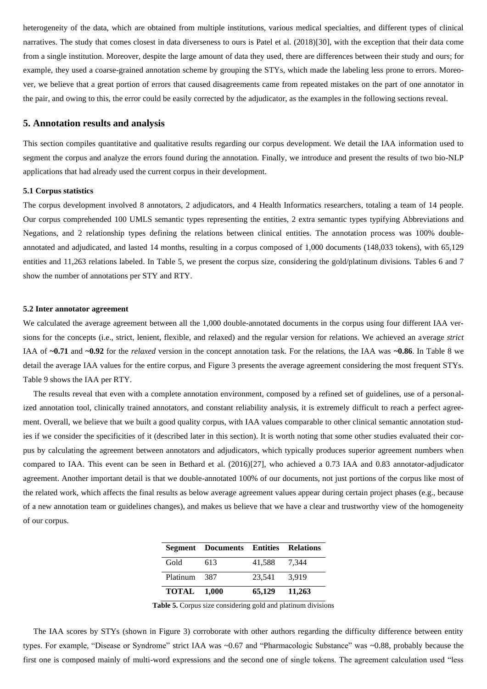heterogeneity of the data, which are obtained from multiple institutions, various medical specialties, and different types of clinical narratives. The study that comes closest in data diverseness to ours is Patel et al. (2018)[30], with the exception that their data come from a single institution. Moreover, despite the large amount of data they used, there are differences between their study and ours; for example, they used a coarse-grained annotation scheme by grouping the STYs, which made the labeling less prone to errors. Moreover, we believe that a great portion of errors that caused disagreements came from repeated mistakes on the part of one annotator in the pair, and owing to this, the error could be easily corrected by the adjudicator, as the examples in the following sections reveal.

#### **5. Annotation results and analysis**

This section compiles quantitative and qualitative results regarding our corpus development. We detail the IAA information used to segment the corpus and analyze the errors found during the annotation. Finally, we introduce and present the results of two bio-NLP applications that had already used the current corpus in their development.

#### **5.1 Corpus statistics**

The corpus development involved 8 annotators, 2 adjudicators, and 4 Health Informatics researchers, totaling a team of 14 people. Our corpus comprehended 100 UMLS semantic types representing the entities, 2 extra semantic types typifying Abbreviations and Negations, and 2 relationship types defining the relations between clinical entities. The annotation process was 100% doubleannotated and adjudicated, and lasted 14 months, resulting in a corpus composed of 1,000 documents (148,033 tokens), with 65,129 entities and 11,263 relations labeled. In Table 5, we present the corpus size, considering the gold/platinum divisions. Tables 6 and 7 show the number of annotations per STY and RTY.

#### **5.2 Inter annotator agreement**

We calculated the average agreement between all the 1,000 double-annotated documents in the corpus using four different IAA versions for the concepts (i.e., strict, lenient, flexible, and relaxed) and the regular version for relations. We achieved an average *strict* IAA of **~0.71** and **~0.92** for the *relaxed* version in the concept annotation task. For the relations, the IAA was **~0.86**. In Table 8 we detail the average IAA values for the entire corpus, and Figure 3 presents the average agreement considering the most frequent STYs. Table 9 shows the IAA per RTY.

 The results reveal that even with a complete annotation environment, composed by a refined set of guidelines, use of a personalized annotation tool, clinically trained annotators, and constant reliability analysis, it is extremely difficult to reach a perfect agreement. Overall, we believe that we built a good quality corpus, with IAA values comparable to other clinical semantic annotation studies if we consider the specificities of it (described later in this section). It is worth noting that some other studies evaluated their corpus by calculating the agreement between annotators and adjudicators, which typically produces superior agreement numbers when compared to IAA. This event can be seen in Bethard et al. (2016)[27], who achieved a 0.73 IAA and 0.83 annotator-adjudicator agreement. Another important detail is that we double-annotated 100% of our documents, not just portions of the corpus like most of the related work, which affects the final results as below average agreement values appear during certain project phases (e.g., because of a new annotation team or guidelines changes), and makes us believe that we have a clear and trustworthy view of the homogeneity of our corpus.

|                    | <b>Segment Documents Entities Relations</b> |        |        |
|--------------------|---------------------------------------------|--------|--------|
| Gold               | 613                                         | 41.588 | 7.344  |
| Platinum           | - 387                                       | 23,541 | 3.919  |
| <b>TOTAL</b> 1.000 |                                             | 65,129 | 11.263 |

**Table 5.** Corpus size considering gold and platinum divisions

 The IAA scores by STYs (shown in Figure 3) corroborate with other authors regarding the difficulty difference between entity types. For example, "Disease or Syndrome" strict IAA was ~0.67 and "Pharmacologic Substance" was ~0.88, probably because the first one is composed mainly of multi-word expressions and the second one of single tokens. The agreement calculation used "less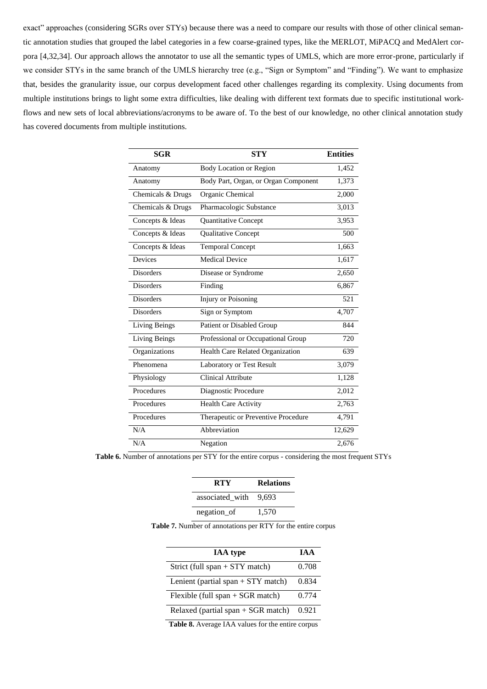exact" approaches (considering SGRs over STYs) because there was a need to compare our results with those of other clinical semantic annotation studies that grouped the label categories in a few coarse-grained types, like the MERLOT, MiPACQ and MedAlert corpora [4,32,34]. Our approach allows the annotator to use all the semantic types of UMLS, which are more error-prone, particularly if we consider STYs in the same branch of the UMLS hierarchy tree (e.g., "Sign or Symptom" and "Finding"). We want to emphasize that, besides the granularity issue, our corpus development faced other challenges regarding its complexity. Using documents from multiple institutions brings to light some extra difficulties, like dealing with different text formats due to specific institutional workflows and new sets of local abbreviations/acronyms to be aware of. To the best of our knowledge, no other clinical annotation study has covered documents from multiple institutions.

| <b>SGR</b><br><b>STY</b> |                                      | <b>Entities</b> |
|--------------------------|--------------------------------------|-----------------|
| Anatomy                  | <b>Body Location or Region</b>       | 1,452           |
| Anatomy                  | Body Part, Organ, or Organ Component | 1,373           |
| Chemicals & Drugs        | Organic Chemical                     | 2,000           |
| Chemicals & Drugs        | Pharmacologic Substance              | 3,013           |
| Concepts & Ideas         | Quantitative Concept                 | 3,953           |
| Concepts & Ideas         | Qualitative Concept                  | 500             |
| Concepts & Ideas         | <b>Temporal Concept</b>              | 1,663           |
| Devices                  | <b>Medical Device</b>                | 1,617           |
| <b>Disorders</b>         | Disease or Syndrome                  | 2,650           |
| <b>Disorders</b>         | Finding                              | 6,867           |
| <b>Disorders</b>         | <b>Injury or Poisoning</b>           | 521             |
| <b>Disorders</b>         | Sign or Symptom                      | 4,707           |
| <b>Living Beings</b>     | Patient or Disabled Group            | 844             |
| <b>Living Beings</b>     | Professional or Occupational Group   | 720             |
| Organizations            | Health Care Related Organization     | 639             |
| Phenomena                | Laboratory or Test Result            | 3,079           |
| Physiology               | <b>Clinical Attribute</b>            | 1,128           |
| Procedures               | Diagnostic Procedure                 | 2,012           |
| Procedures               | Health Care Activity                 | 2,763           |
| Procedures               | Therapeutic or Preventive Procedure  | 4,791           |
| N/A                      | Abbreviation                         | 12,629          |
| N/A                      | Negation                             | 2,676           |

| <b>Table 6.</b> Number of annotations per STY for the entire corpus - considering the most frequent STYs |  |
|----------------------------------------------------------------------------------------------------------|--|
|----------------------------------------------------------------------------------------------------------|--|

| <b>RTY</b>      | <b>Relations</b> |
|-----------------|------------------|
| associated with | 9.693            |
| negation_of     | 1,570            |

**Table 7.** Number of annotations per RTY for the entire corpus

| <b>IAA</b> type                      | TA A  |
|--------------------------------------|-------|
| Strict (full span $+$ STY match)     | 0.708 |
| Lenient (partial span $+$ STY match) | 0.834 |
| Flexible (full span $+$ SGR match)   | 0.774 |
| Relaxed (partial span $+$ SGR match) | 0.921 |

**Table 8.** Average IAA values for the entire corpus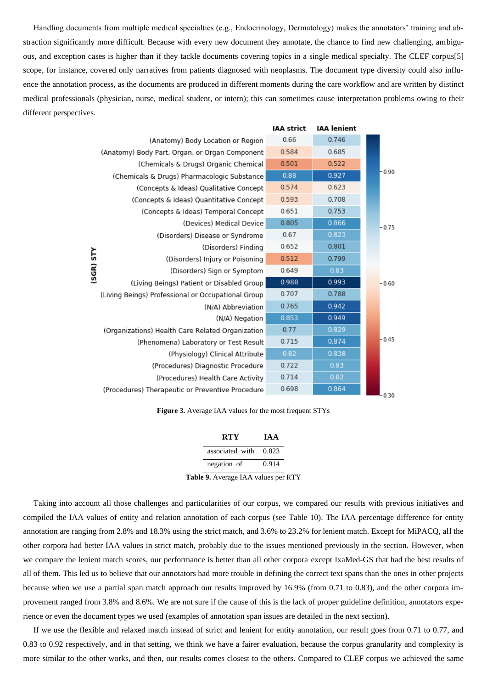Handling documents from multiple medical specialties (e.g., Endocrinology, Dermatology) makes the annotators' training and abstraction significantly more difficult. Because with every new document they annotate, the chance to find new challenging, ambiguous, and exception cases is higher than if they tackle documents covering topics in a single medical specialty. The CLEF corpus[5] scope, for instance, covered only narratives from patients diagnosed with neoplasms. The document type diversity could also influence the annotation process, as the documents are produced in different moments during the care workflow and are written by distinct medical professionals (physician, nurse, medical student, or intern); this can sometimes cause interpretation problems owing to their different perspectives.

|          |                                                    | <b>IAA</b> strict | <b>IAA</b> lenient |         |
|----------|----------------------------------------------------|-------------------|--------------------|---------|
|          | (Anatomy) Body Location or Region                  | 0.66              | 0.746              |         |
|          | (Anatomy) Body Part, Organ, or Organ Component     | 0.584             | 0.685              |         |
|          | (Chemicals & Drugs) Organic Chemical               | 0.501             | 0.522              |         |
|          | (Chemicals & Drugs) Pharmacologic Substance        | 0.88              | 0.927              | $-0.90$ |
|          | (Concepts & Ideas) Qualitative Concept             | 0.574             | 0.623              |         |
|          | (Concepts & Ideas) Quantitative Concept            | 0.593             | 0.708              |         |
|          | (Concepts & Ideas) Temporal Concept                | 0.651             | 0.753              |         |
|          | (Devices) Medical Device                           | 0.805             | 0.866              | $-0.75$ |
|          | (Disorders) Disease or Syndrome                    | 0.67              | 0.823              |         |
|          | (Disorders) Finding                                | 0.652             | 0.801              |         |
| SGR) STY | (Disorders) Injury or Poisoning                    | 0.512             | 0.799              |         |
|          | (Disorders) Sign or Symptom                        | 0.649             | 0.83               |         |
|          | (Living Beings) Patient or Disabled Group          | 0.988             | 0.993              | $-0.60$ |
|          | (Living Beings) Professional or Occupational Group | 0.707             | 0.788              |         |
|          | (N/A) Abbreviation                                 | 0.765             | 0.942              |         |
|          | (N/A) Negation                                     | 0.853             | 0.949              |         |
|          | (Organizations) Health Care Related Organization   | 0.77              | 0.829              |         |
|          | (Phenomena) Laboratory or Test Result              | 0.715             | 0.874              | $-0.45$ |
|          | (Physiology) Clinical Attribute                    | 0.82              | 0.838              |         |
|          | (Procedures) Diagnostic Procedure                  | 0.722             | 0.83               |         |
|          | (Procedures) Health Care Activity                  | 0.714             | 0.82               |         |
|          | (Procedures) Therapeutic or Preventive Procedure   | 0.698             | 0.864              | $-0.30$ |

**Figure 3.** Average IAA values for the most frequent STYs

| RTY             | TA A  |
|-----------------|-------|
| associated with | 0.823 |
| negation_of     | 0.914 |

**Table 9.** Average IAA values per RTY

 Taking into account all those challenges and particularities of our corpus, we compared our results with previous initiatives and compiled the IAA values of entity and relation annotation of each corpus (see Table 10). The IAA percentage difference for entity annotation are ranging from 2.8% and 18.3% using the strict match, and 3.6% to 23.2% for lenient match. Except for MiPACQ, all the other corpora had better IAA values in strict match, probably due to the issues mentioned previously in the section. However, when we compare the lenient match scores, our performance is better than all other corpora except IxaMed-GS that had the best results of all of them. This led us to believe that our annotators had more trouble in defining the correct text spans than the ones in other projects because when we use a partial span match approach our results improved by 16.9% (from 0.71 to 0.83), and the other corpora improvement ranged from 3.8% and 8.6%. We are not sure if the cause of this is the lack of proper guideline definition, annotators experience or even the document types we used (examples of annotation span issues are detailed in the next section).

 If we use the flexible and relaxed match instead of strict and lenient for entity annotation, our result goes from 0.71 to 0.77, and 0.83 to 0.92 respectively, and in that setting, we think we have a fairer evaluation, because the corpus granularity and complexity is more similar to the other works, and then, our results comes closest to the others. Compared to CLEF corpus we achieved the same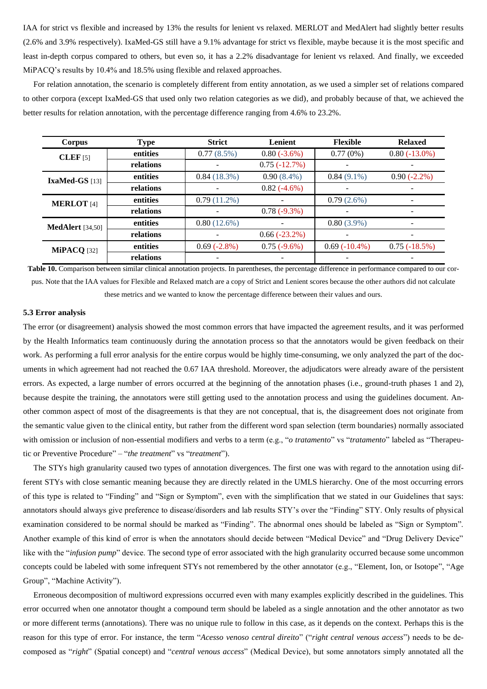IAA for strict vs flexible and increased by 13% the results for lenient vs relaxed. MERLOT and MedAlert had slightly better results (2.6% and 3.9% respectively). IxaMed-GS still have a 9.1% advantage for strict vs flexible, maybe because it is the most specific and least in-depth corpus compared to others, but even so, it has a 2.2% disadvantage for lenient vs relaxed. And finally, we exceeded MiPACQ's results by 10.4% and 18.5% using flexible and relaxed approaches.

 For relation annotation, the scenario is completely different from entity annotation, as we used a simpler set of relations compared to other corpora (except IxaMed-GS that used only two relation categories as we did), and probably because of that, we achieved the better results for relation annotation, with the percentage difference ranging from 4.6% to 23.2%.

| Corpus                  | <b>Type</b> | <b>Strict</b>  | Lenient        | <b>Flexible</b> | <b>Relaxed</b>           |
|-------------------------|-------------|----------------|----------------|-----------------|--------------------------|
| $CLEF$ [5]              | entities    | $0.77(8.5\%)$  | $0.80(-3.6%)$  | 0.77(0%)        | $0.80(-13.0\%)$          |
|                         | relations   |                | $0.75(-12.7%)$ |                 |                          |
| IxaMed-GS $[13]$        | entities    | 0.84(18.3%)    | $0.90(8.4\%)$  | $0.84(9.1\%)$   | $0.90(-2.2\%)$           |
|                         | relations   |                | $0.82(-4.6%)$  |                 |                          |
| <b>MERLOT</b> [4]       | entities    | $0.79(11.2\%)$ |                | $0.79(2.6\%)$   |                          |
|                         | relations   |                | $0.78(-9.3\%)$ |                 |                          |
| <b>MedAlert</b> [34,50] | entities    | $0.80(12.6\%)$ |                | $0.80(3.9\%)$   | $\overline{\phantom{0}}$ |
|                         | relations   |                | $0.66(-23.2%)$ |                 |                          |
| $MiPACO$ [32]           | entities    | $0.69(-2.8%)$  | $0.75(-9.6%)$  | $0.69(-10.4\%)$ | $0.75(-18.5%)$           |
|                         | relations   |                |                |                 |                          |

Table 10. Comparison between similar clinical annotation projects. In parentheses, the percentage difference in performance compared to our corpus. Note that the IAA values for Flexible and Relaxed match are a copy of Strict and Lenient scores because the other authors did not calculate these metrics and we wanted to know the percentage difference between their values and ours.

#### **5.3 Error analysis**

The error (or disagreement) analysis showed the most common errors that have impacted the agreement results, and it was performed by the Health Informatics team continuously during the annotation process so that the annotators would be given feedback on their work. As performing a full error analysis for the entire corpus would be highly time-consuming, we only analyzed the part of the documents in which agreement had not reached the 0.67 IAA threshold. Moreover, the adjudicators were already aware of the persistent errors. As expected, a large number of errors occurred at the beginning of the annotation phases (i.e., ground-truth phases 1 and 2), because despite the training, the annotators were still getting used to the annotation process and using the guidelines document. Another common aspect of most of the disagreements is that they are not conceptual, that is, the disagreement does not originate from the semantic value given to the clinical entity, but rather from the different word span selection (term boundaries) normally associated with omission or inclusion of non-essential modifiers and verbs to a term (e.g., "*o tratamento*" vs "*tratamento*" labeled as "Therapeutic or Preventive Procedure" – "*the treatment*" vs "*treatment*").

 The STYs high granularity caused two types of annotation divergences. The first one was with regard to the annotation using different STYs with close semantic meaning because they are directly related in the UMLS hierarchy. One of the most occurring errors of this type is related to "Finding" and "Sign or Symptom", even with the simplification that we stated in our Guidelines that says: annotators should always give preference to disease/disorders and lab results STY's over the "Finding" STY. Only results of physical examination considered to be normal should be marked as "Finding". The abnormal ones should be labeled as "Sign or Symptom". Another example of this kind of error is when the annotators should decide between "Medical Device" and "Drug Delivery Device" like with the "*infusion pump*" device. The second type of error associated with the high granularity occurred because some uncommon concepts could be labeled with some infrequent STYs not remembered by the other annotator (e.g., "Element, Ion, or Isotope", "Age Group", "Machine Activity").

 Erroneous decomposition of multiword expressions occurred even with many examples explicitly described in the guidelines. This error occurred when one annotator thought a compound term should be labeled as a single annotation and the other annotator as two or more different terms (annotations). There was no unique rule to follow in this case, as it depends on the context. Perhaps this is the reason for this type of error. For instance, the term "*Acesso venoso central direito*" ("*right central venous access*") needs to be decomposed as "*right*" (Spatial concept) and "*central venous access*" (Medical Device), but some annotators simply annotated all the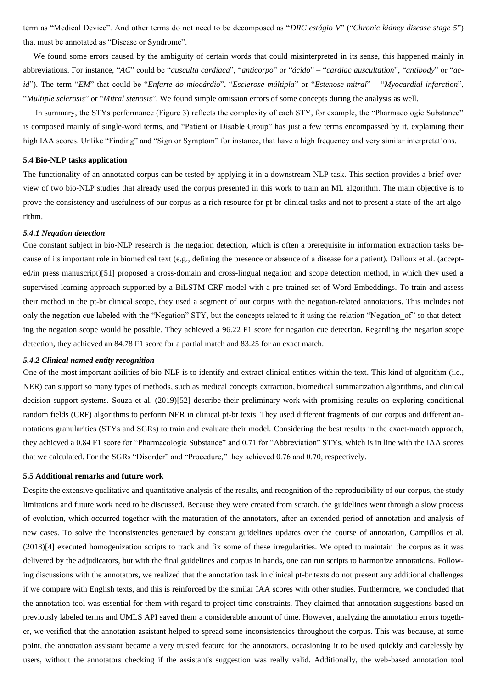term as "Medical Device". And other terms do not need to be decomposed as "*DRC estágio V*" ("*Chronic kidney disease stage 5*") that must be annotated as "Disease or Syndrome".

 We found some errors caused by the ambiguity of certain words that could misinterpreted in its sense, this happened mainly in abbreviations. For instance, "*AC*" could be "*ausculta cardíaca*", "*anticorpo*" or "*ácido*" – "*cardiac auscultation*", "*antibody*" or "*acid*"). The term "*EM*" that could be "*Enfarte do miocárdio*", "*Esclerose múltipla*" or "*Estenose mitral*" – "*Myocardial infarction*", "*Multiple sclerosis*" or "*Mitral stenosis*". We found simple omission errors of some concepts during the analysis as well.

 In summary, the STYs performance (Figure 3) reflects the complexity of each STY, for example, the "Pharmacologic Substance" is composed mainly of single-word terms, and "Patient or Disable Group" has just a few terms encompassed by it, explaining their high IAA scores. Unlike "Finding" and "Sign or Symptom" for instance, that have a high frequency and very similar interpretations.

#### **5.4 Bio-NLP tasks application**

The functionality of an annotated corpus can be tested by applying it in a downstream NLP task. This section provides a brief overview of two bio-NLP studies that already used the corpus presented in this work to train an ML algorithm. The main objective is to prove the consistency and usefulness of our corpus as a rich resource for pt-br clinical tasks and not to present a state-of-the-art algorithm.

#### *5.4.1 Negation detection*

One constant subject in bio-NLP research is the negation detection, which is often a prerequisite in information extraction tasks because of its important role in biomedical text (e.g., defining the presence or absence of a disease for a patient). Dalloux et al. (accepted/in press manuscript)[51] proposed a cross-domain and cross-lingual negation and scope detection method, in which they used a supervised learning approach supported by a BiLSTM-CRF model with a pre-trained set of Word Embeddings. To train and assess their method in the pt-br clinical scope, they used a segment of our corpus with the negation-related annotations. This includes not only the negation cue labeled with the "Negation" STY, but the concepts related to it using the relation "Negation\_of" so that detecting the negation scope would be possible. They achieved a 96.22 F1 score for negation cue detection. Regarding the negation scope detection, they achieved an 84.78 F1 score for a partial match and 83.25 for an exact match.

#### *5.4.2 Clinical named entity recognition*

One of the most important abilities of bio-NLP is to identify and extract clinical entities within the text. This kind of algorithm (i.e., NER) can support so many types of methods, such as medical concepts extraction, biomedical summarization algorithms, and clinical decision support systems. Souza et al. (2019)[52] describe their preliminary work with promising results on exploring conditional random fields (CRF) algorithms to perform NER in clinical pt-br texts. They used different fragments of our corpus and different annotations granularities (STYs and SGRs) to train and evaluate their model. Considering the best results in the exact-match approach, they achieved a 0.84 F1 score for "Pharmacologic Substance" and 0.71 for "Abbreviation" STYs, which is in line with the IAA scores that we calculated. For the SGRs "Disorder" and "Procedure," they achieved 0.76 and 0.70, respectively.

#### **5.5 Additional remarks and future work**

Despite the extensive qualitative and quantitative analysis of the results, and recognition of the reproducibility of our corpus, the study limitations and future work need to be discussed. Because they were created from scratch, the guidelines went through a slow process of evolution, which occurred together with the maturation of the annotators, after an extended period of annotation and analysis of new cases. To solve the inconsistencies generated by constant guidelines updates over the course of annotation, Campillos et al. (2018)[4] executed homogenization scripts to track and fix some of these irregularities. We opted to maintain the corpus as it was delivered by the adjudicators, but with the final guidelines and corpus in hands, one can run scripts to harmonize annotations. Following discussions with the annotators, we realized that the annotation task in clinical pt-br texts do not present any additional challenges if we compare with English texts, and this is reinforced by the similar IAA scores with other studies. Furthermore, we concluded that the annotation tool was essential for them with regard to project time constraints. They claimed that annotation suggestions based on previously labeled terms and UMLS API saved them a considerable amount of time. However, analyzing the annotation errors together, we verified that the annotation assistant helped to spread some inconsistencies throughout the corpus. This was because, at some point, the annotation assistant became a very trusted feature for the annotators, occasioning it to be used quickly and carelessly by users, without the annotators checking if the assistant's suggestion was really valid. Additionally, the web-based annotation tool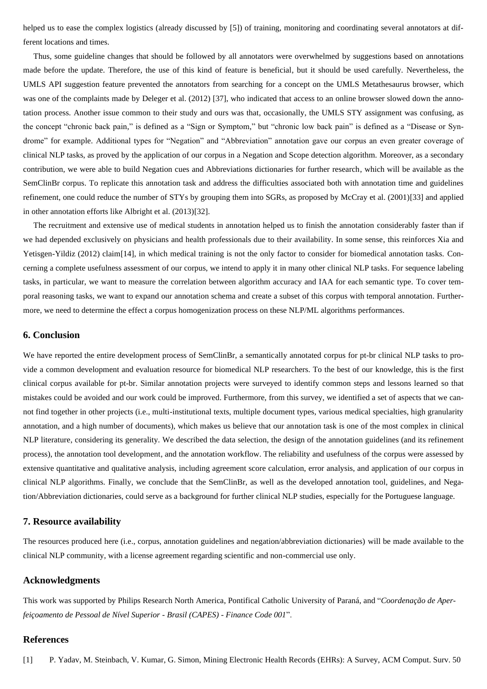helped us to ease the complex logistics (already discussed by [5]) of training, monitoring and coordinating several annotators at different locations and times.

 Thus, some guideline changes that should be followed by all annotators were overwhelmed by suggestions based on annotations made before the update. Therefore, the use of this kind of feature is beneficial, but it should be used carefully. Nevertheless, the UMLS API suggestion feature prevented the annotators from searching for a concept on the UMLS Metathesaurus browser, which was one of the complaints made by Deleger et al. (2012) [37], who indicated that access to an online browser slowed down the annotation process. Another issue common to their study and ours was that, occasionally, the UMLS STY assignment was confusing, as the concept "chronic back pain," is defined as a "Sign or Symptom," but "chronic low back pain" is defined as a "Disease or Syndrome" for example. Additional types for "Negation" and "Abbreviation" annotation gave our corpus an even greater coverage of clinical NLP tasks, as proved by the application of our corpus in a Negation and Scope detection algorithm. Moreover, as a secondary contribution, we were able to build Negation cues and Abbreviations dictionaries for further research, which will be available as the SemClinBr corpus. To replicate this annotation task and address the difficulties associated both with annotation time and guidelines refinement, one could reduce the number of STYs by grouping them into SGRs, as proposed by McCray et al. (2001)[33] and applied in other annotation efforts like Albright et al. (2013)[32].

 The recruitment and extensive use of medical students in annotation helped us to finish the annotation considerably faster than if we had depended exclusively on physicians and health professionals due to their availability. In some sense, this reinforces Xia and Yetisgen-Yildiz (2012) claim[14], in which medical training is not the only factor to consider for biomedical annotation tasks. Concerning a complete usefulness assessment of our corpus, we intend to apply it in many other clinical NLP tasks. For sequence labeling tasks, in particular, we want to measure the correlation between algorithm accuracy and IAA for each semantic type. To cover temporal reasoning tasks, we want to expand our annotation schema and create a subset of this corpus with temporal annotation. Furthermore, we need to determine the effect a corpus homogenization process on these NLP/ML algorithms performances.

## **6. Conclusion**

We have reported the entire development process of SemClinBr, a semantically annotated corpus for pt-br clinical NLP tasks to provide a common development and evaluation resource for biomedical NLP researchers. To the best of our knowledge, this is the first clinical corpus available for pt-br. Similar annotation projects were surveyed to identify common steps and lessons learned so that mistakes could be avoided and our work could be improved. Furthermore, from this survey, we identified a set of aspects that we cannot find together in other projects (i.e., multi-institutional texts, multiple document types, various medical specialties, high granularity annotation, and a high number of documents), which makes us believe that our annotation task is one of the most complex in clinical NLP literature, considering its generality. We described the data selection, the design of the annotation guidelines (and its refinement process), the annotation tool development, and the annotation workflow. The reliability and usefulness of the corpus were assessed by extensive quantitative and qualitative analysis, including agreement score calculation, error analysis, and application of our corpus in clinical NLP algorithms. Finally, we conclude that the SemClinBr, as well as the developed annotation tool, guidelines, and Negation/Abbreviation dictionaries, could serve as a background for further clinical NLP studies, especially for the Portuguese language.

## **7. Resource availability**

The resources produced here (i.e., corpus, annotation guidelines and negation/abbreviation dictionaries) will be made available to the clinical NLP community, with a license agreement regarding scientific and non-commercial use only.

## **Acknowledgments**

This work was supported by Philips Research North America, Pontifical Catholic University of Paraná, and "*Coordenação de Aperfeiçoamento de Pessoal de Nível Superior - Brasil (CAPES) - Finance Code 001*".

## **References**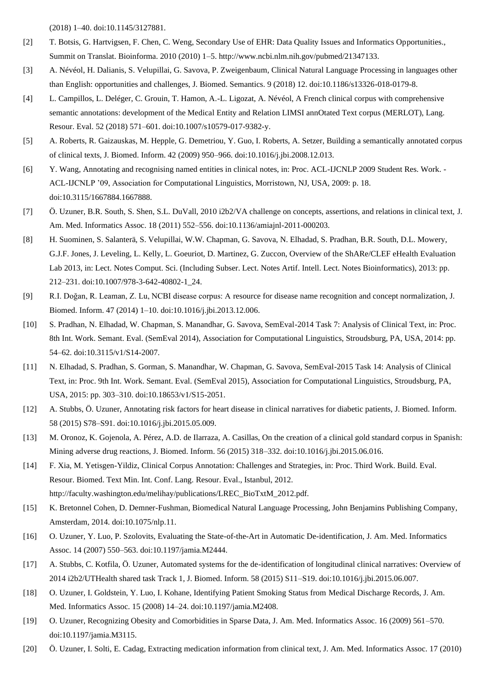(2018) 1–40. doi:10.1145/3127881.

- [2] T. Botsis, G. Hartvigsen, F. Chen, C. Weng, Secondary Use of EHR: Data Quality Issues and Informatics Opportunities., Summit on Translat. Bioinforma. 2010 (2010) 1–5. http://www.ncbi.nlm.nih.gov/pubmed/21347133.
- [3] A. Névéol, H. Dalianis, S. Velupillai, G. Savova, P. Zweigenbaum, Clinical Natural Language Processing in languages other than English: opportunities and challenges, J. Biomed. Semantics. 9 (2018) 12. doi:10.1186/s13326-018-0179-8.
- [4] L. Campillos, L. Deléger, C. Grouin, T. Hamon, A.-L. Ligozat, A. Névéol, A French clinical corpus with comprehensive semantic annotations: development of the Medical Entity and Relation LIMSI annOtated Text corpus (MERLOT), Lang. Resour. Eval. 52 (2018) 571–601. doi:10.1007/s10579-017-9382-y.
- [5] A. Roberts, R. Gaizauskas, M. Hepple, G. Demetriou, Y. Guo, I. Roberts, A. Setzer, Building a semantically annotated corpus of clinical texts, J. Biomed. Inform. 42 (2009) 950–966. doi:10.1016/j.jbi.2008.12.013.
- [6] Y. Wang, Annotating and recognising named entities in clinical notes, in: Proc. ACL-IJCNLP 2009 Student Res. Work. ACL-IJCNLP '09, Association for Computational Linguistics, Morristown, NJ, USA, 2009: p. 18. doi:10.3115/1667884.1667888.
- [7] Ö. Uzuner, B.R. South, S. Shen, S.L. DuVall, 2010 i2b2/VA challenge on concepts, assertions, and relations in clinical text, J. Am. Med. Informatics Assoc. 18 (2011) 552–556. doi:10.1136/amiajnl-2011-000203.
- [8] H. Suominen, S. Salanterä, S. Velupillai, W.W. Chapman, G. Savova, N. Elhadad, S. Pradhan, B.R. South, D.L. Mowery, G.J.F. Jones, J. Leveling, L. Kelly, L. Goeuriot, D. Martinez, G. Zuccon, Overview of the ShARe/CLEF eHealth Evaluation Lab 2013, in: Lect. Notes Comput. Sci. (Including Subser. Lect. Notes Artif. Intell. Lect. Notes Bioinformatics), 2013: pp. 212–231. doi:10.1007/978-3-642-40802-1\_24.
- [9] R.I. Doğan, R. Leaman, Z. Lu, NCBI disease corpus: A resource for disease name recognition and concept normalization, J. Biomed. Inform. 47 (2014) 1–10. doi:10.1016/j.jbi.2013.12.006.
- [10] S. Pradhan, N. Elhadad, W. Chapman, S. Manandhar, G. Savova, SemEval-2014 Task 7: Analysis of Clinical Text, in: Proc. 8th Int. Work. Semant. Eval. (SemEval 2014), Association for Computational Linguistics, Stroudsburg, PA, USA, 2014: pp. 54–62. doi:10.3115/v1/S14-2007.
- [11] N. Elhadad, S. Pradhan, S. Gorman, S. Manandhar, W. Chapman, G. Savova, SemEval-2015 Task 14: Analysis of Clinical Text, in: Proc. 9th Int. Work. Semant. Eval. (SemEval 2015), Association for Computational Linguistics, Stroudsburg, PA, USA, 2015: pp. 303–310. doi:10.18653/v1/S15-2051.
- [12] A. Stubbs, Ö. Uzuner, Annotating risk factors for heart disease in clinical narratives for diabetic patients, J. Biomed. Inform. 58 (2015) S78–S91. doi:10.1016/j.jbi.2015.05.009.
- [13] M. Oronoz, K. Gojenola, A. Pérez, A.D. de Ilarraza, A. Casillas, On the creation of a clinical gold standard corpus in Spanish: Mining adverse drug reactions, J. Biomed. Inform. 56 (2015) 318–332. doi:10.1016/j.jbi.2015.06.016.
- [14] F. Xia, M. Yetisgen-Yildiz, Clinical Corpus Annotation: Challenges and Strategies, in: Proc. Third Work. Build. Eval. Resour. Biomed. Text Min. Int. Conf. Lang. Resour. Eval., Istanbul, 2012. http://faculty.washington.edu/melihay/publications/LREC\_BioTxtM\_2012.pdf.
- [15] K. Bretonnel Cohen, D. Demner-Fushman, Biomedical Natural Language Processing, John Benjamins Publishing Company, Amsterdam, 2014. doi:10.1075/nlp.11.
- [16] O. Uzuner, Y. Luo, P. Szolovits, Evaluating the State-of-the-Art in Automatic De-identification, J. Am. Med. Informatics Assoc. 14 (2007) 550–563. doi:10.1197/jamia.M2444.
- [17] A. Stubbs, C. Kotfila, Ö. Uzuner, Automated systems for the de-identification of longitudinal clinical narratives: Overview of 2014 i2b2/UTHealth shared task Track 1, J. Biomed. Inform. 58 (2015) S11–S19. doi:10.1016/j.jbi.2015.06.007.
- [18] O. Uzuner, I. Goldstein, Y. Luo, I. Kohane, Identifying Patient Smoking Status from Medical Discharge Records, J. Am. Med. Informatics Assoc. 15 (2008) 14–24. doi:10.1197/jamia.M2408.
- [19] O. Uzuner, Recognizing Obesity and Comorbidities in Sparse Data, J. Am. Med. Informatics Assoc. 16 (2009) 561–570. doi:10.1197/jamia.M3115.
- [20] Ö. Uzuner, I. Solti, E. Cadag, Extracting medication information from clinical text, J. Am. Med. Informatics Assoc. 17 (2010)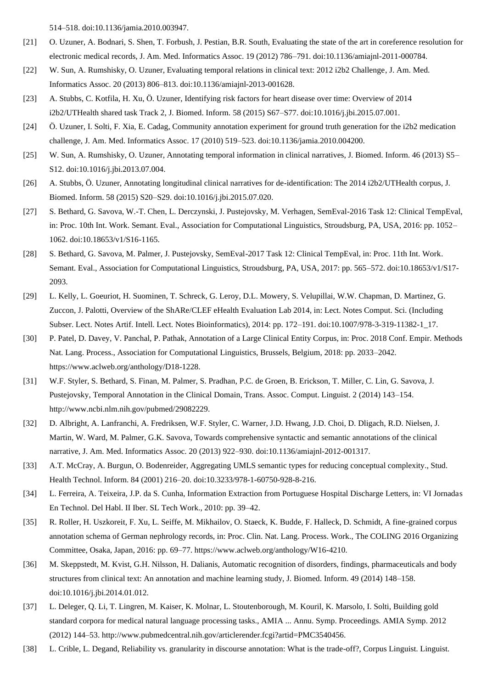514–518. doi:10.1136/jamia.2010.003947.

- [21] O. Uzuner, A. Bodnari, S. Shen, T. Forbush, J. Pestian, B.R. South, Evaluating the state of the art in coreference resolution for electronic medical records, J. Am. Med. Informatics Assoc. 19 (2012) 786–791. doi:10.1136/amiajnl-2011-000784.
- [22] W. Sun, A. Rumshisky, O. Uzuner, Evaluating temporal relations in clinical text: 2012 i2b2 Challenge, J. Am. Med. Informatics Assoc. 20 (2013) 806–813. doi:10.1136/amiajnl-2013-001628.
- [23] A. Stubbs, C. Kotfila, H. Xu, Ö. Uzuner, Identifying risk factors for heart disease over time: Overview of 2014 i2b2/UTHealth shared task Track 2, J. Biomed. Inform. 58 (2015) S67–S77. doi:10.1016/j.jbi.2015.07.001.
- [24] Ö. Uzuner, I. Solti, F. Xia, E. Cadag, Community annotation experiment for ground truth generation for the i2b2 medication challenge, J. Am. Med. Informatics Assoc. 17 (2010) 519–523. doi:10.1136/jamia.2010.004200.
- [25] W. Sun, A. Rumshisky, O. Uzuner, Annotating temporal information in clinical narratives, J. Biomed. Inform. 46 (2013) S5– S12. doi:10.1016/j.jbi.2013.07.004.
- [26] A. Stubbs, Ö. Uzuner, Annotating longitudinal clinical narratives for de-identification: The 2014 i2b2/UTHealth corpus, J. Biomed. Inform. 58 (2015) S20–S29. doi:10.1016/j.jbi.2015.07.020.
- [27] S. Bethard, G. Savova, W.-T. Chen, L. Derczynski, J. Pustejovsky, M. Verhagen, SemEval-2016 Task 12: Clinical TempEval, in: Proc. 10th Int. Work. Semant. Eval., Association for Computational Linguistics, Stroudsburg, PA, USA, 2016: pp. 1052– 1062. doi:10.18653/v1/S16-1165.
- [28] S. Bethard, G. Savova, M. Palmer, J. Pustejovsky, SemEval-2017 Task 12: Clinical TempEval, in: Proc. 11th Int. Work. Semant. Eval., Association for Computational Linguistics, Stroudsburg, PA, USA, 2017: pp. 565–572. doi:10.18653/v1/S17- 2093.
- [29] L. Kelly, L. Goeuriot, H. Suominen, T. Schreck, G. Leroy, D.L. Mowery, S. Velupillai, W.W. Chapman, D. Martinez, G. Zuccon, J. Palotti, Overview of the ShARe/CLEF eHealth Evaluation Lab 2014, in: Lect. Notes Comput. Sci. (Including Subser. Lect. Notes Artif. Intell. Lect. Notes Bioinformatics), 2014: pp. 172–191. doi:10.1007/978-3-319-11382-1\_17.
- [30] P. Patel, D. Davey, V. Panchal, P. Pathak, Annotation of a Large Clinical Entity Corpus, in: Proc. 2018 Conf. Empir. Methods Nat. Lang. Process., Association for Computational Linguistics, Brussels, Belgium, 2018: pp. 2033–2042. https://www.aclweb.org/anthology/D18-1228.
- [31] W.F. Styler, S. Bethard, S. Finan, M. Palmer, S. Pradhan, P.C. de Groen, B. Erickson, T. Miller, C. Lin, G. Savova, J. Pustejovsky, Temporal Annotation in the Clinical Domain, Trans. Assoc. Comput. Linguist. 2 (2014) 143–154. http://www.ncbi.nlm.nih.gov/pubmed/29082229.
- [32] D. Albright, A. Lanfranchi, A. Fredriksen, W.F. Styler, C. Warner, J.D. Hwang, J.D. Choi, D. Dligach, R.D. Nielsen, J. Martin, W. Ward, M. Palmer, G.K. Savova, Towards comprehensive syntactic and semantic annotations of the clinical narrative, J. Am. Med. Informatics Assoc. 20 (2013) 922–930. doi:10.1136/amiajnl-2012-001317.
- [33] A.T. McCray, A. Burgun, O. Bodenreider, Aggregating UMLS semantic types for reducing conceptual complexity., Stud. Health Technol. Inform. 84 (2001) 216–20. doi:10.3233/978-1-60750-928-8-216.
- [34] L. Ferreira, A. Teixeira, J.P. da S. Cunha, Information Extraction from Portuguese Hospital Discharge Letters, in: VI Jornadas En Technol. Del Habl. II Iber. SL Tech Work., 2010: pp. 39–42.
- [35] R. Roller, H. Uszkoreit, F. Xu, L. Seiffe, M. Mikhailov, O. Staeck, K. Budde, F. Halleck, D. Schmidt, A fine-grained corpus annotation schema of German nephrology records, in: Proc. Clin. Nat. Lang. Process. Work., The COLING 2016 Organizing Committee, Osaka, Japan, 2016: pp. 69–77. https://www.aclweb.org/anthology/W16-4210.
- [36] M. Skeppstedt, M. Kvist, G.H. Nilsson, H. Dalianis, Automatic recognition of disorders, findings, pharmaceuticals and body structures from clinical text: An annotation and machine learning study, J. Biomed. Inform. 49 (2014) 148–158. doi:10.1016/j.jbi.2014.01.012.
- [37] L. Deleger, Q. Li, T. Lingren, M. Kaiser, K. Molnar, L. Stoutenborough, M. Kouril, K. Marsolo, I. Solti, Building gold standard corpora for medical natural language processing tasks., AMIA ... Annu. Symp. Proceedings. AMIA Symp. 2012 (2012) 144–53. http://www.pubmedcentral.nih.gov/articlerender.fcgi?artid=PMC3540456.
- [38] L. Crible, L. Degand, Reliability vs. granularity in discourse annotation: What is the trade-off?, Corpus Linguist. Linguist.